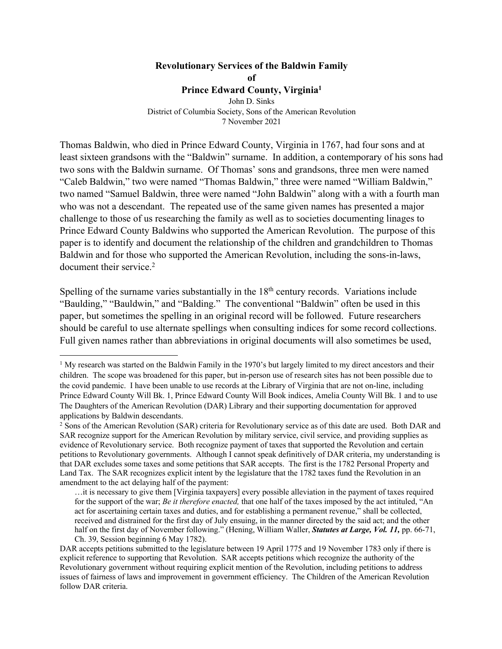# **Revolutionary Services of the Baldwin Family**

**of**

#### **Prince Edward County, Virginia1**

John D. Sinks District of Columbia Society, Sons of the American Revolution 7 November 2021

Thomas Baldwin, who died in Prince Edward County, Virginia in 1767, had four sons and at least sixteen grandsons with the "Baldwin" surname. In addition, a contemporary of his sons had two sons with the Baldwin surname. Of Thomas' sons and grandsons, three men were named "Caleb Baldwin," two were named "Thomas Baldwin," three were named "William Baldwin," two named "Samuel Baldwin, three were named "John Baldwin" along with a with a fourth man who was not a descendant. The repeated use of the same given names has presented a major challenge to those of us researching the family as well as to societies documenting linages to Prince Edward County Baldwins who supported the American Revolution. The purpose of this paper is to identify and document the relationship of the children and grandchildren to Thomas Baldwin and for those who supported the American Revolution, including the sons-in-laws, document their service. 2

Spelling of the surname varies substantially in the 18<sup>th</sup> century records. Variations include "Baulding," "Bauldwin," and "Balding." The conventional "Baldwin" often be used in this paper, but sometimes the spelling in an original record will be followed. Future researchers should be careful to use alternate spellings when consulting indices for some record collections. Full given names rather than abbreviations in original documents will also sometimes be used,

 $<sup>1</sup>$  My research was started on the Baldwin Family in the 1970's but largely limited to my direct ancestors and their</sup> children. The scope was broadened for this paper, but in-person use of research sites has not been possible due to the covid pandemic. I have been unable to use records at the Library of Virginia that are not on-line, including Prince Edward County Will Bk. 1, Prince Edward County Will Book indices, Amelia County Will Bk. 1 and to use The Daughters of the American Revolution (DAR) Library and their supporting documentation for approved applications by Baldwin descendants.

<sup>&</sup>lt;sup>2</sup> Sons of the American Revolution (SAR) criteria for Revolutionary service as of this date are used. Both DAR and SAR recognize support for the American Revolution by military service, civil service, and providing supplies as evidence of Revolutionary service. Both recognize payment of taxes that supported the Revolution and certain petitions to Revolutionary governments. Although I cannot speak definitively of DAR criteria, my understanding is that DAR excludes some taxes and some petitions that SAR accepts. The first is the 1782 Personal Property and Land Tax. The SAR recognizes explicit intent by the legislature that the 1782 taxes fund the Revolution in an amendment to the act delaying half of the payment:

<sup>…</sup>it is necessary to give them [Virginia taxpayers] every possible alleviation in the payment of taxes required for the support of the war; *Be it therefore enacted,* that one half of the taxes imposed by the act intituled, "An act for ascertaining certain taxes and duties, and for establishing a permanent revenue," shall be collected, received and distrained for the first day of July ensuing, in the manner directed by the said act; and the other half on the first day of November following." (Hening, William Waller, *Statutes at Large, Vol. 11,* pp. 66-71, Ch. 39, Session beginning 6 May 1782).

DAR accepts petitions submitted to the legislature between 19 April 1775 and 19 November 1783 only if there is explicit reference to supporting that Revolution. SAR accepts petitions which recognize the authority of the Revolutionary government without requiring explicit mention of the Revolution, including petitions to address issues of fairness of laws and improvement in government efficiency. The Children of the American Revolution follow DAR criteria.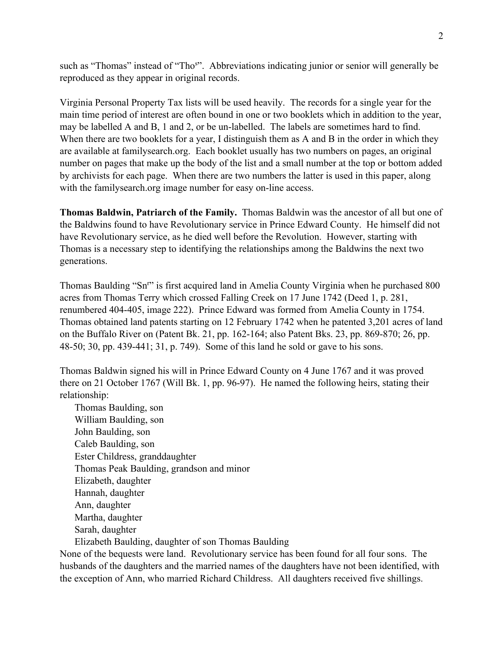such as "Thomas" instead of "Tho<sup>s</sup>". Abbreviations indicating junior or senior will generally be reproduced as they appear in original records.

Virginia Personal Property Tax lists will be used heavily. The records for a single year for the main time period of interest are often bound in one or two booklets which in addition to the year, may be labelled A and B, 1 and 2, or be un-labelled. The labels are sometimes hard to find. When there are two booklets for a year, I distinguish them as A and B in the order in which they are available at familysearch.org. Each booklet usually has two numbers on pages, an original number on pages that make up the body of the list and a small number at the top or bottom added by archivists for each page. When there are two numbers the latter is used in this paper, along with the familysearch.org image number for easy on-line access.

**Thomas Baldwin, Patriarch of the Family.** Thomas Baldwin was the ancestor of all but one of the Baldwins found to have Revolutionary service in Prince Edward County. He himself did not have Revolutionary service, as he died well before the Revolution. However, starting with Thomas is a necessary step to identifying the relationships among the Baldwins the next two generations.

Thomas Baulding "Sn<sup>r</sup>" is first acquired land in Amelia County Virginia when he purchased 800 acres from Thomas Terry which crossed Falling Creek on 17 June 1742 (Deed 1, p. 281, renumbered 404-405, image 222). Prince Edward was formed from Amelia County in 1754. Thomas obtained land patents starting on 12 February 1742 when he patented 3,201 acres of land on the Buffalo River on (Patent Bk. 21, pp. 162-164; also Patent Bks. 23, pp. 869-870; 26, pp. 48-50; 30, pp. 439-441; 31, p. 749). Some of this land he sold or gave to his sons.

Thomas Baldwin signed his will in Prince Edward County on 4 June 1767 and it was proved there on 21 October 1767 (Will Bk. 1, pp. 96-97). He named the following heirs, stating their relationship:

Thomas Baulding, son William Baulding, son John Baulding, son Caleb Baulding, son Ester Childress, granddaughter Thomas Peak Baulding, grandson and minor Elizabeth, daughter Hannah, daughter Ann, daughter Martha, daughter Sarah, daughter Elizabeth Baulding, daughter of son Thomas Baulding

None of the bequests were land. Revolutionary service has been found for all four sons. The husbands of the daughters and the married names of the daughters have not been identified, with the exception of Ann, who married Richard Childress. All daughters received five shillings.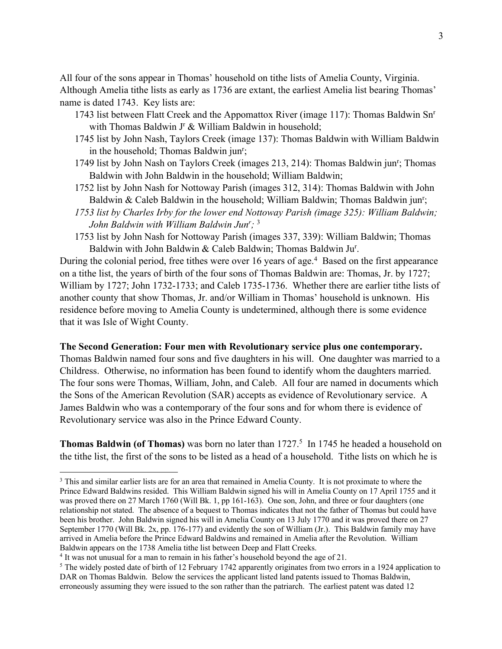All four of the sons appear in Thomas' household on tithe lists of Amelia County, Virginia. Although Amelia tithe lists as early as 1736 are extant, the earliest Amelia list bearing Thomas' name is dated 1743. Key lists are:

- 1743 list between Flatt Creek and the Appomattox River (image 117): Thomas Baldwin Snr with Thomas Baldwin J<sup>r</sup> & William Baldwin in household;
- 1745 list by John Nash, Taylors Creek (image 137): Thomas Baldwin with William Baldwin in the household; Thomas Baldwin jun<sup>r</sup>;
- 1749 list by John Nash on Taylors Creek (images 213, 214): Thomas Baldwin jun<sup>r</sup>; Thomas Baldwin with John Baldwin in the household; William Baldwin;
- 1752 list by John Nash for Nottoway Parish (images 312, 314): Thomas Baldwin with John Baldwin & Caleb Baldwin in the household; William Baldwin; Thomas Baldwin jun<sup>r</sup>;
- *1753 list by Charles Irby for the lower end Nottoway Parish (image 325): William Baldwin; John Baldwin with William Baldwin Junr ;* 3
- 1753 list by John Nash for Nottoway Parish (images 337, 339): William Baldwin; Thomas Baldwin with John Baldwin & Caleb Baldwin; Thomas Baldwin Jur .

During the colonial period, free tithes were over 16 years of age.<sup>4</sup> Based on the first appearance on a tithe list, the years of birth of the four sons of Thomas Baldwin are: Thomas, Jr. by 1727; William by 1727; John 1732-1733; and Caleb 1735-1736. Whether there are earlier tithe lists of another county that show Thomas, Jr. and/or William in Thomas' household is unknown. His residence before moving to Amelia County is undetermined, although there is some evidence that it was Isle of Wight County.

## **The Second Generation: Four men with Revolutionary service plus one contemporary.**

Thomas Baldwin named four sons and five daughters in his will. One daughter was married to a Childress. Otherwise, no information has been found to identify whom the daughters married. The four sons were Thomas, William, John, and Caleb. All four are named in documents which the Sons of the American Revolution (SAR) accepts as evidence of Revolutionary service. A James Baldwin who was a contemporary of the four sons and for whom there is evidence of Revolutionary service was also in the Prince Edward County.

**Thomas Baldwin (of Thomas)** was born no later than 1727. 5 In 1745 he headed a household on the tithe list, the first of the sons to be listed as a head of a household. Tithe lists on which he is

<sup>&</sup>lt;sup>3</sup> This and similar earlier lists are for an area that remained in Amelia County. It is not proximate to where the Prince Edward Baldwins resided. This William Baldwin signed his will in Amelia County on 17 April 1755 and it was proved there on 27 March 1760 (Will Bk. 1, pp 161-163). One son, John, and three or four daughters (one relationship not stated. The absence of a bequest to Thomas indicates that not the father of Thomas but could have been his brother. John Baldwin signed his will in Amelia County on 13 July 1770 and it was proved there on 27 September 1770 (Will Bk. 2x, pp. 176-177) and evidently the son of William (Jr.). This Baldwin family may have arrived in Amelia before the Prince Edward Baldwins and remained in Amelia after the Revolution. William Baldwin appears on the 1738 Amelia tithe list between Deep and Flatt Creeks.

<sup>4</sup> It was not unusual for a man to remain in his father's household beyond the age of 21.

<sup>&</sup>lt;sup>5</sup> The widely posted date of birth of 12 February 1742 apparently originates from two errors in a 1924 application to DAR on Thomas Baldwin. Below the services the applicant listed land patents issued to Thomas Baldwin, erroneously assuming they were issued to the son rather than the patriarch. The earliest patent was dated 12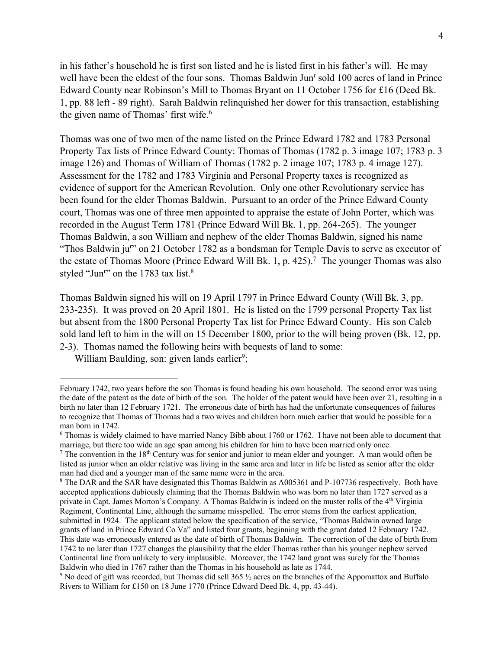in his father's household he is first son listed and he is listed first in his father's will. He may well have been the eldest of the four sons. Thomas Baldwin Jun<sup>r</sup> sold 100 acres of land in Prince Edward County near Robinson's Mill to Thomas Bryant on 11 October 1756 for £16 (Deed Bk. 1, pp. 88 left - 89 right). Sarah Baldwin relinquished her dower for this transaction, establishing the given name of Thomas' first wife.<sup>6</sup>

Thomas was one of two men of the name listed on the Prince Edward 1782 and 1783 Personal Property Tax lists of Prince Edward County: Thomas of Thomas (1782 p. 3 image 107; 1783 p. 3 image 126) and Thomas of William of Thomas (1782 p. 2 image 107; 1783 p. 4 image 127). Assessment for the 1782 and 1783 Virginia and Personal Property taxes is recognized as evidence of support for the American Revolution. Only one other Revolutionary service has been found for the elder Thomas Baldwin. Pursuant to an order of the Prince Edward County court, Thomas was one of three men appointed to appraise the estate of John Porter, which was recorded in the August Term 1781 (Prince Edward Will Bk. 1, pp. 264-265). The younger Thomas Baldwin, a son William and nephew of the elder Thomas Baldwin, signed his name "Thos Baldwin ju<sup>r</sup>" on 21 October 1782 as a bondsman for Temple Davis to serve as executor of the estate of Thomas Moore (Prince Edward Will Bk. 1, p. 425). 7 The younger Thomas was also styled "Jun<sup>r</sup>" on the 1783 tax list.<sup>8</sup>

Thomas Baldwin signed his will on 19 April 1797 in Prince Edward County (Will Bk. 3, pp. 233-235). It was proved on 20 April 1801. He is listed on the 1799 personal Property Tax list but absent from the 1800 Personal Property Tax list for Prince Edward County. His son Caleb sold land left to him in the will on 15 December 1800, prior to the will being proven (Bk. 12, pp. 2-3). Thomas named the following heirs with bequests of land to some:

William Baulding, son: given lands earlier<sup>9</sup>;

February 1742, two years before the son Thomas is found heading his own household. The second error was using the date of the patent as the date of birth of the son. The holder of the patent would have been over 21, resulting in a birth no later than 12 February 1721. The erroneous date of birth has had the unfortunate consequences of failures to recognize that Thomas of Thomas had a two wives and children born much earlier that would be possible for a man born in 1742.

<sup>6</sup> Thomas is widely claimed to have married Nancy Bibb about 1760 or 1762. I have not been able to document that marriage, but there too wide an age span among his children for him to have been married only once.

<sup>&</sup>lt;sup>7</sup> The convention in the  $18<sup>th</sup>$  Century was for senior and junior to mean elder and younger. A man would often be listed as junior when an older relative was living in the same area and later in life be listed as senior after the older man had died and a younger man of the same name were in the area.

<sup>8</sup> The DAR and the SAR have designated this Thomas Baldwin as A005361 and P-107736 respectively. Both have accepted applications dubiously claiming that the Thomas Baldwin who was born no later than 1727 served as a private in Capt. James Morton's Company. A Thomas Baldwin is indeed on the muster rolls of the 4th Virginia Regiment, Continental Line, although the surname misspelled. The error stems from the earliest application, submitted in 1924. The applicant stated below the specification of the service, "Thomas Baldwin owned large grants of land in Prince Edward Co Va" and listed four grants, beginning with the grant dated 12 February 1742. This date was erroneously entered as the date of birth of Thomas Baldwin. The correction of the date of birth from 1742 to no later than 1727 changes the plausibility that the elder Thomas rather than his younger nephew served Continental line from unlikely to very implausible. Moreover, the 1742 land grant was surely for the Thomas Baldwin who died in 1767 rather than the Thomas in his household as late as 1744.

<sup>9</sup> No deed of gift was recorded, but Thomas did sell 365 ½ acres on the branches of the Appomattox and Buffalo Rivers to William for £150 on 18 June 1770 (Prince Edward Deed Bk. 4, pp. 43-44).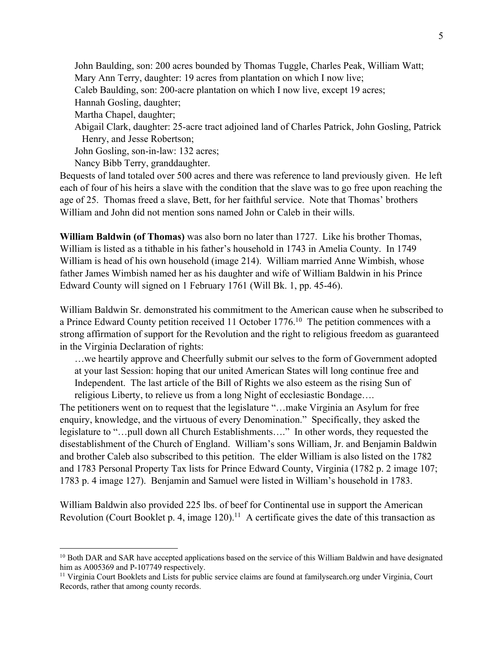John Baulding, son: 200 acres bounded by Thomas Tuggle, Charles Peak, William Watt; Mary Ann Terry, daughter: 19 acres from plantation on which I now live; Caleb Baulding, son: 200-acre plantation on which I now live, except 19 acres; Hannah Gosling, daughter; Martha Chapel, daughter; Abigail Clark, daughter: 25-acre tract adjoined land of Charles Patrick, John Gosling, Patrick Henry, and Jesse Robertson; John Gosling, son-in-law: 132 acres; Nancy Bibb Terry, granddaughter.

Bequests of land totaled over 500 acres and there was reference to land previously given. He left each of four of his heirs a slave with the condition that the slave was to go free upon reaching the age of 25. Thomas freed a slave, Bett, for her faithful service. Note that Thomas' brothers William and John did not mention sons named John or Caleb in their wills.

**William Baldwin (of Thomas)** was also born no later than 1727. Like his brother Thomas, William is listed as a tithable in his father's household in 1743 in Amelia County. In 1749 William is head of his own household (image 214). William married Anne Wimbish, whose father James Wimbish named her as his daughter and wife of William Baldwin in his Prince Edward County will signed on 1 February 1761 (Will Bk. 1, pp. 45-46).

William Baldwin Sr. demonstrated his commitment to the American cause when he subscribed to a Prince Edward County petition received 11 October 1776.<sup>10</sup> The petition commences with a strong affirmation of support for the Revolution and the right to religious freedom as guaranteed in the Virginia Declaration of rights:

…we heartily approve and Cheerfully submit our selves to the form of Government adopted at your last Session: hoping that our united American States will long continue free and Independent. The last article of the Bill of Rights we also esteem as the rising Sun of religious Liberty, to relieve us from a long Night of ecclesiastic Bondage….

The petitioners went on to request that the legislature "…make Virginia an Asylum for free enquiry, knowledge, and the virtuous of every Denomination." Specifically, they asked the legislature to "…pull down all Church Establishments…." In other words, they requested the disestablishment of the Church of England. William's sons William, Jr. and Benjamin Baldwin and brother Caleb also subscribed to this petition. The elder William is also listed on the 1782 and 1783 Personal Property Tax lists for Prince Edward County, Virginia (1782 p. 2 image 107; 1783 p. 4 image 127). Benjamin and Samuel were listed in William's household in 1783.

William Baldwin also provided 225 lbs. of beef for Continental use in support the American Revolution (Court Booklet p. 4, image  $120$ ).<sup>11</sup> A certificate gives the date of this transaction as

<sup>&</sup>lt;sup>10</sup> Both DAR and SAR have accepted applications based on the service of this William Baldwin and have designated him as A005369 and P-107749 respectively.

<sup>&</sup>lt;sup>11</sup> Virginia Court Booklets and Lists for public service claims are found at familysearch.org under Virginia, Court Records, rather that among county records.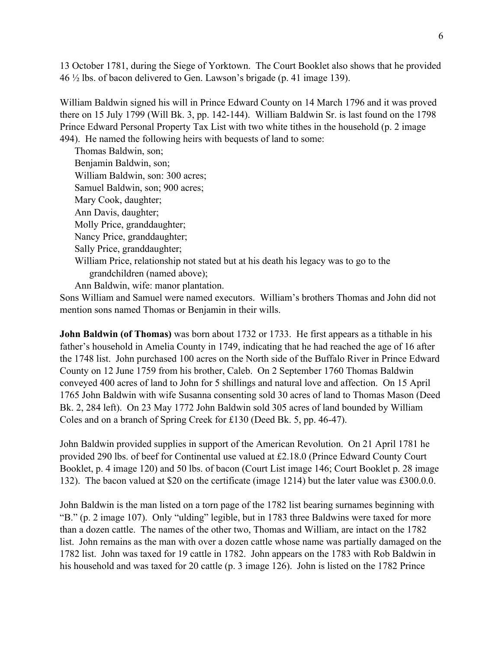13 October 1781, during the Siege of Yorktown. The Court Booklet also shows that he provided 46 ½ lbs. of bacon delivered to Gen. Lawson's brigade (p. 41 image 139).

William Baldwin signed his will in Prince Edward County on 14 March 1796 and it was proved there on 15 July 1799 (Will Bk. 3, pp. 142-144). William Baldwin Sr. is last found on the 1798 Prince Edward Personal Property Tax List with two white tithes in the household (p. 2 image 494). He named the following heirs with bequests of land to some:

Thomas Baldwin, son; Benjamin Baldwin, son; William Baldwin, son: 300 acres; Samuel Baldwin, son; 900 acres; Mary Cook, daughter; Ann Davis, daughter; Molly Price, granddaughter; Nancy Price, granddaughter; Sally Price, granddaughter; William Price, relationship not stated but at his death his legacy was to go to the grandchildren (named above); Ann Baldwin, wife: manor plantation.

Sons William and Samuel were named executors. William's brothers Thomas and John did not mention sons named Thomas or Benjamin in their wills.

**John Baldwin (of Thomas)** was born about 1732 or 1733. He first appears as a tithable in his father's household in Amelia County in 1749, indicating that he had reached the age of 16 after the 1748 list. John purchased 100 acres on the North side of the Buffalo River in Prince Edward County on 12 June 1759 from his brother, Caleb. On 2 September 1760 Thomas Baldwin conveyed 400 acres of land to John for 5 shillings and natural love and affection. On 15 April 1765 John Baldwin with wife Susanna consenting sold 30 acres of land to Thomas Mason (Deed Bk. 2, 284 left). On 23 May 1772 John Baldwin sold 305 acres of land bounded by William Coles and on a branch of Spring Creek for £130 (Deed Bk. 5, pp. 46-47).

John Baldwin provided supplies in support of the American Revolution. On 21 April 1781 he provided 290 lbs. of beef for Continental use valued at £2.18.0 (Prince Edward County Court Booklet, p. 4 image 120) and 50 lbs. of bacon (Court List image 146; Court Booklet p. 28 image 132). The bacon valued at \$20 on the certificate (image 1214) but the later value was £300.0.0.

John Baldwin is the man listed on a torn page of the 1782 list bearing surnames beginning with "B." (p. 2 image 107). Only "ulding" legible, but in 1783 three Baldwins were taxed for more than a dozen cattle. The names of the other two, Thomas and William, are intact on the 1782 list. John remains as the man with over a dozen cattle whose name was partially damaged on the 1782 list. John was taxed for 19 cattle in 1782. John appears on the 1783 with Rob Baldwin in his household and was taxed for 20 cattle (p. 3 image 126). John is listed on the 1782 Prince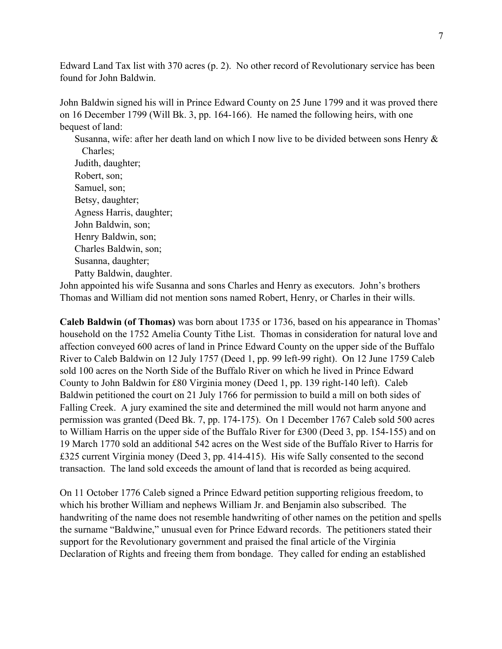Edward Land Tax list with 370 acres (p. 2). No other record of Revolutionary service has been found for John Baldwin.

John Baldwin signed his will in Prince Edward County on 25 June 1799 and it was proved there on 16 December 1799 (Will Bk. 3, pp. 164-166). He named the following heirs, with one bequest of land:

Susanna, wife: after her death land on which I now live to be divided between sons Henry & Charles;

Judith, daughter; Robert, son; Samuel, son; Betsy, daughter; Agness Harris, daughter; John Baldwin, son; Henry Baldwin, son; Charles Baldwin, son; Susanna, daughter; Patty Baldwin, daughter.

John appointed his wife Susanna and sons Charles and Henry as executors. John's brothers Thomas and William did not mention sons named Robert, Henry, or Charles in their wills.

**Caleb Baldwin (of Thomas)** was born about 1735 or 1736, based on his appearance in Thomas' household on the 1752 Amelia County Tithe List. Thomas in consideration for natural love and affection conveyed 600 acres of land in Prince Edward County on the upper side of the Buffalo River to Caleb Baldwin on 12 July 1757 (Deed 1, pp. 99 left-99 right). On 12 June 1759 Caleb sold 100 acres on the North Side of the Buffalo River on which he lived in Prince Edward County to John Baldwin for £80 Virginia money (Deed 1, pp. 139 right-140 left). Caleb Baldwin petitioned the court on 21 July 1766 for permission to build a mill on both sides of Falling Creek. A jury examined the site and determined the mill would not harm anyone and permission was granted (Deed Bk. 7, pp. 174-175). On 1 December 1767 Caleb sold 500 acres to William Harris on the upper side of the Buffalo River for £300 (Deed 3, pp. 154-155) and on 19 March 1770 sold an additional 542 acres on the West side of the Buffalo River to Harris for £325 current Virginia money (Deed 3, pp. 414-415). His wife Sally consented to the second transaction. The land sold exceeds the amount of land that is recorded as being acquired.

On 11 October 1776 Caleb signed a Prince Edward petition supporting religious freedom, to which his brother William and nephews William Jr. and Benjamin also subscribed. The handwriting of the name does not resemble handwriting of other names on the petition and spells the surname "Baldwine," unusual even for Prince Edward records. The petitioners stated their support for the Revolutionary government and praised the final article of the Virginia Declaration of Rights and freeing them from bondage. They called for ending an established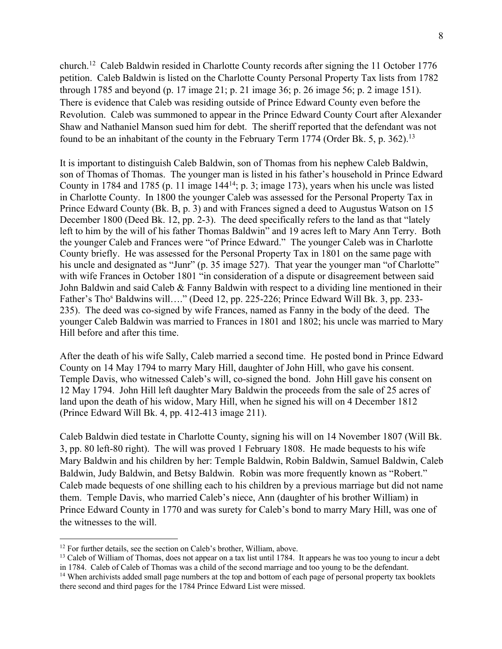church.12 Caleb Baldwin resided in Charlotte County records after signing the 11 October 1776 petition. Caleb Baldwin is listed on the Charlotte County Personal Property Tax lists from 1782 through 1785 and beyond (p. 17 image 21; p. 21 image 36; p. 26 image 56; p. 2 image 151). There is evidence that Caleb was residing outside of Prince Edward County even before the Revolution. Caleb was summoned to appear in the Prince Edward County Court after Alexander Shaw and Nathaniel Manson sued him for debt. The sheriff reported that the defendant was not found to be an inhabitant of the county in the February Term 1774 (Order Bk. 5, p. 362).<sup>13</sup>

It is important to distinguish Caleb Baldwin, son of Thomas from his nephew Caleb Baldwin, son of Thomas of Thomas. The younger man is listed in his father's household in Prince Edward County in 1784 and 1785 (p. 11 image 14414; p. 3; image 173), years when his uncle was listed in Charlotte County. In 1800 the younger Caleb was assessed for the Personal Property Tax in Prince Edward County (Bk. B, p. 3) and with Frances signed a deed to Augustus Watson on 15 December 1800 (Deed Bk. 12, pp. 2-3). The deed specifically refers to the land as that "lately left to him by the will of his father Thomas Baldwin" and 19 acres left to Mary Ann Terry. Both the younger Caleb and Frances were "of Prince Edward." The younger Caleb was in Charlotte County briefly. He was assessed for the Personal Property Tax in 1801 on the same page with his uncle and designated as "Junr" (p. 35 image 527). That year the younger man "of Charlotte" with wife Frances in October 1801 "in consideration of a dispute or disagreement between said John Baldwin and said Caleb & Fanny Baldwin with respect to a dividing line mentioned in their Father's Tho<sup>s</sup> Baldwins will…." (Deed 12, pp. 225-226; Prince Edward Will Bk. 3, pp. 233-235). The deed was co-signed by wife Frances, named as Fanny in the body of the deed. The younger Caleb Baldwin was married to Frances in 1801 and 1802; his uncle was married to Mary Hill before and after this time.

After the death of his wife Sally, Caleb married a second time. He posted bond in Prince Edward County on 14 May 1794 to marry Mary Hill, daughter of John Hill, who gave his consent. Temple Davis, who witnessed Caleb's will, co-signed the bond. John Hill gave his consent on 12 May 1794. John Hill left daughter Mary Baldwin the proceeds from the sale of 25 acres of land upon the death of his widow, Mary Hill, when he signed his will on 4 December 1812 (Prince Edward Will Bk. 4, pp. 412-413 image 211).

Caleb Baldwin died testate in Charlotte County, signing his will on 14 November 1807 (Will Bk. 3, pp. 80 left-80 right). The will was proved 1 February 1808. He made bequests to his wife Mary Baldwin and his children by her: Temple Baldwin, Robin Baldwin, Samuel Baldwin, Caleb Baldwin, Judy Baldwin, and Betsy Baldwin. Robin was more frequently known as "Robert." Caleb made bequests of one shilling each to his children by a previous marriage but did not name them. Temple Davis, who married Caleb's niece, Ann (daughter of his brother William) in Prince Edward County in 1770 and was surety for Caleb's bond to marry Mary Hill, was one of the witnesses to the will.

<sup>&</sup>lt;sup>12</sup> For further details, see the section on Caleb's brother, William, above.<br><sup>13</sup> Caleb of William of Thomas, does not appear on a tax list until 1784. It appears he was too young to incur a debt in 1784. Caleb of Caleb of Thomas was a child of the second marriage and too young to be the defendant.

<sup>&</sup>lt;sup>14</sup> When archivists added small page numbers at the top and bottom of each page of personal property tax booklets there second and third pages for the 1784 Prince Edward List were missed.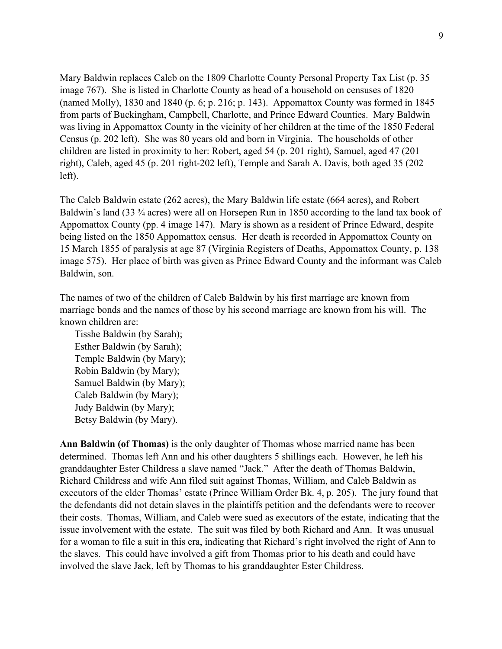Mary Baldwin replaces Caleb on the 1809 Charlotte County Personal Property Tax List (p. 35 image 767). She is listed in Charlotte County as head of a household on censuses of 1820 (named Molly), 1830 and 1840 (p. 6; p. 216; p. 143). Appomattox County was formed in 1845 from parts of Buckingham, Campbell, Charlotte, and Prince Edward Counties. Mary Baldwin was living in Appomattox County in the vicinity of her children at the time of the 1850 Federal Census (p. 202 left). She was 80 years old and born in Virginia. The households of other children are listed in proximity to her: Robert, aged 54 (p. 201 right), Samuel, aged 47 (201 right), Caleb, aged 45 (p. 201 right-202 left), Temple and Sarah A. Davis, both aged 35 (202 left).

The Caleb Baldwin estate (262 acres), the Mary Baldwin life estate (664 acres), and Robert Baldwin's land (33 <sup>3</sup>/<sub>4</sub> acres) were all on Horsepen Run in 1850 according to the land tax book of Appomattox County (pp. 4 image 147). Mary is shown as a resident of Prince Edward, despite being listed on the 1850 Appomattox census. Her death is recorded in Appomattox County on 15 March 1855 of paralysis at age 87 (Virginia Registers of Deaths, Appomattox County, p. 138 image 575). Her place of birth was given as Prince Edward County and the informant was Caleb Baldwin, son.

The names of two of the children of Caleb Baldwin by his first marriage are known from marriage bonds and the names of those by his second marriage are known from his will. The known children are:

Tisshe Baldwin (by Sarah); Esther Baldwin (by Sarah); Temple Baldwin (by Mary); Robin Baldwin (by Mary); Samuel Baldwin (by Mary); Caleb Baldwin (by Mary); Judy Baldwin (by Mary); Betsy Baldwin (by Mary).

**Ann Baldwin (of Thomas)** is the only daughter of Thomas whose married name has been determined. Thomas left Ann and his other daughters 5 shillings each. However, he left his granddaughter Ester Childress a slave named "Jack." After the death of Thomas Baldwin, Richard Childress and wife Ann filed suit against Thomas, William, and Caleb Baldwin as executors of the elder Thomas' estate (Prince William Order Bk. 4, p. 205). The jury found that the defendants did not detain slaves in the plaintiffs petition and the defendants were to recover their costs. Thomas, William, and Caleb were sued as executors of the estate, indicating that the issue involvement with the estate. The suit was filed by both Richard and Ann. It was unusual for a woman to file a suit in this era, indicating that Richard's right involved the right of Ann to the slaves. This could have involved a gift from Thomas prior to his death and could have involved the slave Jack, left by Thomas to his granddaughter Ester Childress.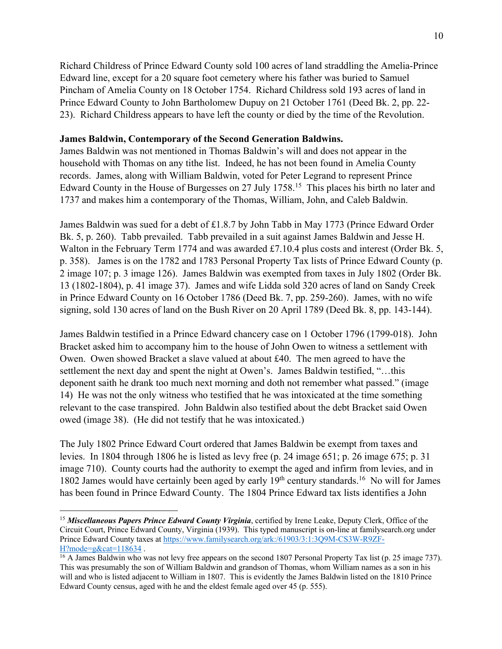Richard Childress of Prince Edward County sold 100 acres of land straddling the Amelia-Prince Edward line, except for a 20 square foot cemetery where his father was buried to Samuel Pincham of Amelia County on 18 October 1754. Richard Childress sold 193 acres of land in Prince Edward County to John Bartholomew Dupuy on 21 October 1761 (Deed Bk. 2, pp. 22- 23). Richard Childress appears to have left the county or died by the time of the Revolution.

## **James Baldwin, Contemporary of the Second Generation Baldwins.**

James Baldwin was not mentioned in Thomas Baldwin's will and does not appear in the household with Thomas on any tithe list. Indeed, he has not been found in Amelia County records. James, along with William Baldwin, voted for Peter Legrand to represent Prince Edward County in the House of Burgesses on 27 July 1758.<sup>15</sup> This places his birth no later and 1737 and makes him a contemporary of the Thomas, William, John, and Caleb Baldwin.

James Baldwin was sued for a debt of £1.8.7 by John Tabb in May 1773 (Prince Edward Order Bk. 5, p. 260). Tabb prevailed. Tabb prevailed in a suit against James Baldwin and Jesse H. Walton in the February Term 1774 and was awarded £7.10.4 plus costs and interest (Order Bk. 5, p. 358). James is on the 1782 and 1783 Personal Property Tax lists of Prince Edward County (p. 2 image 107; p. 3 image 126). James Baldwin was exempted from taxes in July 1802 (Order Bk. 13 (1802-1804), p. 41 image 37). James and wife Lidda sold 320 acres of land on Sandy Creek in Prince Edward County on 16 October 1786 (Deed Bk. 7, pp. 259-260). James, with no wife signing, sold 130 acres of land on the Bush River on 20 April 1789 (Deed Bk. 8, pp. 143-144).

James Baldwin testified in a Prince Edward chancery case on 1 October 1796 (1799-018). John Bracket asked him to accompany him to the house of John Owen to witness a settlement with Owen. Owen showed Bracket a slave valued at about  $\text{\pounds}40$ . The men agreed to have the settlement the next day and spent the night at Owen's. James Baldwin testified, "…this deponent saith he drank too much next morning and doth not remember what passed." (image 14) He was not the only witness who testified that he was intoxicated at the time something relevant to the case transpired. John Baldwin also testified about the debt Bracket said Owen owed (image 38). (He did not testify that he was intoxicated.)

The July 1802 Prince Edward Court ordered that James Baldwin be exempt from taxes and levies. In 1804 through 1806 he is listed as levy free (p. 24 image 651; p. 26 image 675; p. 31 image 710). County courts had the authority to exempt the aged and infirm from levies, and in 1802 James would have certainly been aged by early  $19<sup>th</sup>$  century standards.<sup>16</sup> No will for James has been found in Prince Edward County. The 1804 Prince Edward tax lists identifies a John

<sup>15</sup> *Miscellaneous Papers Prince Edward County Virginia*, certified by Irene Leake, Deputy Clerk, Office of the Circuit Court, Prince Edward County, Virginia (1939). This typed manuscript is on-line at familysearch.org under Prince Edward County taxes at https://www.familysearch.org/ark:/61903/3:1:3Q9M-CS3W-R9ZF-H?mode=g&cat=118634 .

<sup>&</sup>lt;sup>16</sup> A James Baldwin who was not levy free appears on the second 1807 Personal Property Tax list (p. 25 image 737). This was presumably the son of William Baldwin and grandson of Thomas, whom William names as a son in his will and who is listed adjacent to William in 1807. This is evidently the James Baldwin listed on the 1810 Prince Edward County census, aged with he and the eldest female aged over 45 (p. 555).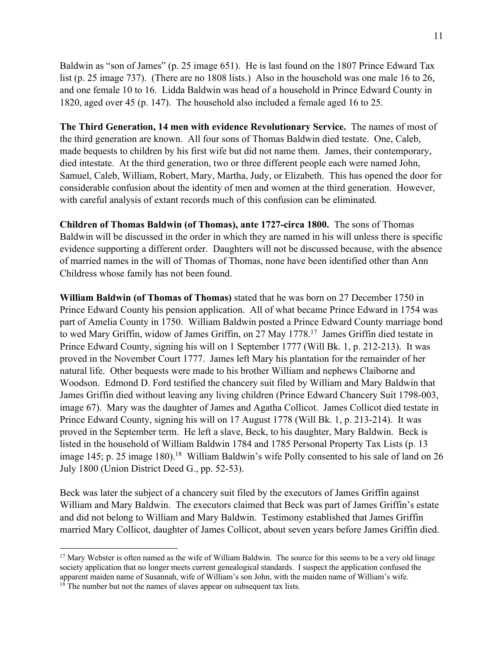Baldwin as "son of James" (p. 25 image 651). He is last found on the 1807 Prince Edward Tax list (p. 25 image 737). (There are no 1808 lists.) Also in the household was one male 16 to 26, and one female 10 to 16. Lidda Baldwin was head of a household in Prince Edward County in 1820, aged over 45 (p. 147). The household also included a female aged 16 to 25.

**The Third Generation, 14 men with evidence Revolutionary Service.** The names of most of the third generation are known. All four sons of Thomas Baldwin died testate. One, Caleb, made bequests to children by his first wife but did not name them. James, their contemporary, died intestate. At the third generation, two or three different people each were named John, Samuel, Caleb, William, Robert, Mary, Martha, Judy, or Elizabeth. This has opened the door for considerable confusion about the identity of men and women at the third generation. However, with careful analysis of extant records much of this confusion can be eliminated.

**Children of Thomas Baldwin (of Thomas), ante 1727-circa 1800.** The sons of Thomas Baldwin will be discussed in the order in which they are named in his will unless there is specific evidence supporting a different order. Daughters will not be discussed because, with the absence of married names in the will of Thomas of Thomas, none have been identified other than Ann Childress whose family has not been found.

**William Baldwin (of Thomas of Thomas)** stated that he was born on 27 December 1750 in Prince Edward County his pension application. All of what became Prince Edward in 1754 was part of Amelia County in 1750. William Baldwin posted a Prince Edward County marriage bond to wed Mary Griffin, widow of James Griffin, on 27 May 1778.17 James Griffin died testate in Prince Edward County, signing his will on 1 September 1777 (Will Bk. 1, p. 212-213). It was proved in the November Court 1777. James left Mary his plantation for the remainder of her natural life. Other bequests were made to his brother William and nephews Claiborne and Woodson. Edmond D. Ford testified the chancery suit filed by William and Mary Baldwin that James Griffin died without leaving any living children (Prince Edward Chancery Suit 1798-003, image 67). Mary was the daughter of James and Agatha Collicot. James Collicot died testate in Prince Edward County, signing his will on 17 August 1778 (Will Bk. 1, p. 213-214). It was proved in the September term. He left a slave, Beck, to his daughter, Mary Baldwin. Beck is listed in the household of William Baldwin 1784 and 1785 Personal Property Tax Lists (p. 13 image 145; p. 25 image 180).<sup>18</sup> William Baldwin's wife Polly consented to his sale of land on 26 July 1800 (Union District Deed G., pp. 52-53).

Beck was later the subject of a chancery suit filed by the executors of James Griffin against William and Mary Baldwin. The executors claimed that Beck was part of James Griffin's estate and did not belong to William and Mary Baldwin. Testimony established that James Griffin married Mary Collicot, daughter of James Collicot, about seven years before James Griffin died.

 $17$  Mary Webster is often named as the wife of William Baldwin. The source for this seems to be a very old linage society application that no longer meets current genealogical standards. I suspect the application confused the apparent maiden name of Susannah, wife of William's son John, with the maiden name of William's wife.

 $18$ <sup>18</sup> The number but not the names of slaves appear on subsequent tax lists.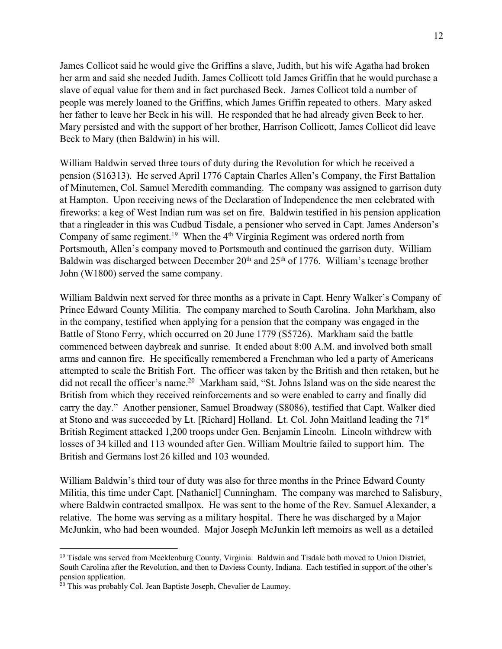James Collicot said he would give the Griffins a slave, Judith, but his wife Agatha had broken her arm and said she needed Judith. James Collicott told James Griffin that he would purchase a slave of equal value for them and in fact purchased Beck. James Collicot told a number of people was merely loaned to the Griffins, which James Griffin repeated to others. Mary asked her father to leave her Beck in his will. He responded that he had already givcn Beck to her. Mary persisted and with the support of her brother, Harrison Collicott, James Collicot did leave Beck to Mary (then Baldwin) in his will.

William Baldwin served three tours of duty during the Revolution for which he received a pension (S16313). He served April 1776 Captain Charles Allen's Company, the First Battalion of Minutemen, Col. Samuel Meredith commanding. The company was assigned to garrison duty at Hampton. Upon receiving news of the Declaration of Independence the men celebrated with fireworks: a keg of West Indian rum was set on fire. Baldwin testified in his pension application that a ringleader in this was Cudbud Tisdale, a pensioner who served in Capt. James Anderson's Company of same regiment.<sup>19</sup> When the  $4<sup>th</sup> Virginia$  Regiment was ordered north from Portsmouth, Allen's company moved to Portsmouth and continued the garrison duty. William Baldwin was discharged between December  $20<sup>th</sup>$  and  $25<sup>th</sup>$  of 1776. William's teenage brother John (W1800) served the same company.

William Baldwin next served for three months as a private in Capt. Henry Walker's Company of Prince Edward County Militia. The company marched to South Carolina. John Markham, also in the company, testified when applying for a pension that the company was engaged in the Battle of Stono Ferry, which occurred on 20 June 1779 (S5726). Markham said the battle commenced between daybreak and sunrise. It ended about 8:00 A.M. and involved both small arms and cannon fire. He specifically remembered a Frenchman who led a party of Americans attempted to scale the British Fort. The officer was taken by the British and then retaken, but he did not recall the officer's name. 20 Markham said, "St. Johns Island was on the side nearest the British from which they received reinforcements and so were enabled to carry and finally did carry the day." Another pensioner, Samuel Broadway (S8086), testified that Capt. Walker died at Stono and was succeeded by Lt. [Richard] Holland. Lt. Col. John Maitland leading the 71st British Regiment attacked 1,200 troops under Gen. Benjamin Lincoln. Lincoln withdrew with losses of 34 killed and 113 wounded after Gen. William Moultrie failed to support him. The British and Germans lost 26 killed and 103 wounded.

William Baldwin's third tour of duty was also for three months in the Prince Edward County Militia, this time under Capt. [Nathaniel] Cunningham. The company was marched to Salisbury, where Baldwin contracted smallpox. He was sent to the home of the Rev. Samuel Alexander, a relative. The home was serving as a military hospital. There he was discharged by a Major McJunkin, who had been wounded. Major Joseph McJunkin left memoirs as well as a detailed

<sup>&</sup>lt;sup>19</sup> Tisdale was served from Mecklenburg County, Virginia. Baldwin and Tisdale both moved to Union District, South Carolina after the Revolution, and then to Daviess County, Indiana. Each testified in support of the other's pension application.

 $20$  This was probably Col. Jean Baptiste Joseph, Chevalier de Laumoy.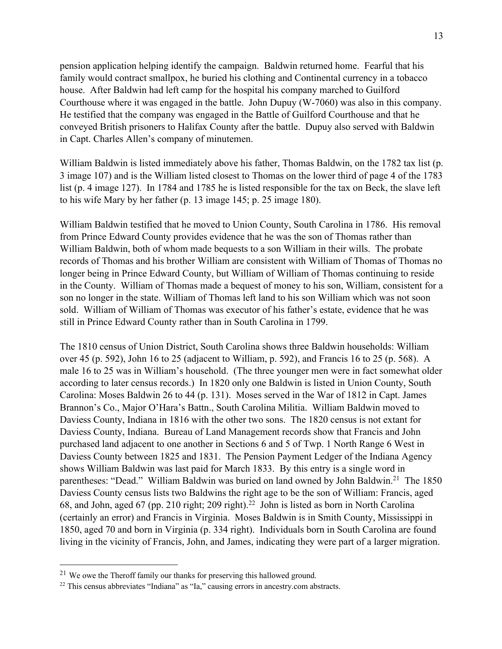pension application helping identify the campaign. Baldwin returned home. Fearful that his family would contract smallpox, he buried his clothing and Continental currency in a tobacco house. After Baldwin had left camp for the hospital his company marched to Guilford Courthouse where it was engaged in the battle. John Dupuy (W-7060) was also in this company. He testified that the company was engaged in the Battle of Guilford Courthouse and that he conveyed British prisoners to Halifax County after the battle. Dupuy also served with Baldwin in Capt. Charles Allen's company of minutemen.

William Baldwin is listed immediately above his father, Thomas Baldwin, on the 1782 tax list (p. 3 image 107) and is the William listed closest to Thomas on the lower third of page 4 of the 1783 list (p. 4 image 127). In 1784 and 1785 he is listed responsible for the tax on Beck, the slave left to his wife Mary by her father (p. 13 image 145; p. 25 image 180).

William Baldwin testified that he moved to Union County, South Carolina in 1786. His removal from Prince Edward County provides evidence that he was the son of Thomas rather than William Baldwin, both of whom made bequests to a son William in their wills. The probate records of Thomas and his brother William are consistent with William of Thomas of Thomas no longer being in Prince Edward County, but William of William of Thomas continuing to reside in the County. William of Thomas made a bequest of money to his son, William, consistent for a son no longer in the state. William of Thomas left land to his son William which was not soon sold. William of William of Thomas was executor of his father's estate, evidence that he was still in Prince Edward County rather than in South Carolina in 1799.

The 1810 census of Union District, South Carolina shows three Baldwin households: William over 45 (p. 592), John 16 to 25 (adjacent to William, p. 592), and Francis 16 to 25 (p. 568). A male 16 to 25 was in William's household. (The three younger men were in fact somewhat older according to later census records.) In 1820 only one Baldwin is listed in Union County, South Carolina: Moses Baldwin 26 to 44 (p. 131). Moses served in the War of 1812 in Capt. James Brannon's Co., Major O'Hara's Battn., South Carolina Militia. William Baldwin moved to Daviess County, Indiana in 1816 with the other two sons. The 1820 census is not extant for Daviess County, Indiana. Bureau of Land Management records show that Francis and John purchased land adjacent to one another in Sections 6 and 5 of Twp. 1 North Range 6 West in Daviess County between 1825 and 1831. The Pension Payment Ledger of the Indiana Agency shows William Baldwin was last paid for March 1833. By this entry is a single word in parentheses: "Dead." William Baldwin was buried on land owned by John Baldwin.<sup>21</sup> The 1850 Daviess County census lists two Baldwins the right age to be the son of William: Francis, aged 68, and John, aged 67 (pp. 210 right; 209 right).<sup>22</sup> John is listed as born in North Carolina (certainly an error) and Francis in Virginia. Moses Baldwin is in Smith County, Mississippi in 1850, aged 70 and born in Virginia (p. 334 right). Individuals born in South Carolina are found living in the vicinity of Francis, John, and James, indicating they were part of a larger migration.

<sup>&</sup>lt;sup>21</sup> We owe the Theroff family our thanks for preserving this hallowed ground.<br><sup>22</sup> This census abbreviates "Indiana" as "Ia," causing errors in ancestry.com abstracts.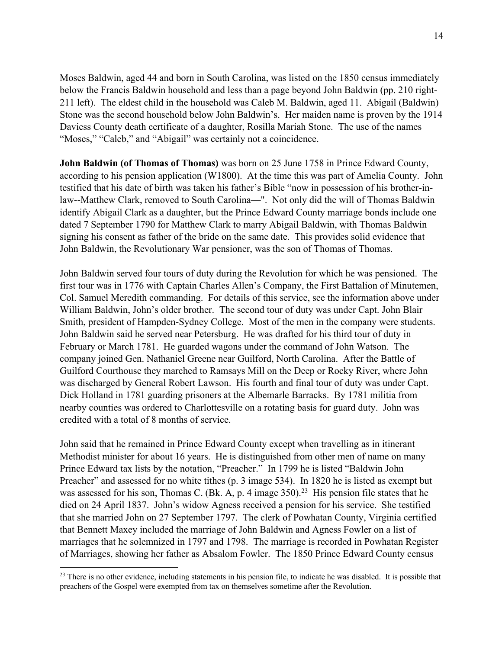Moses Baldwin, aged 44 and born in South Carolina, was listed on the 1850 census immediately below the Francis Baldwin household and less than a page beyond John Baldwin (pp. 210 right-211 left). The eldest child in the household was Caleb M. Baldwin, aged 11. Abigail (Baldwin) Stone was the second household below John Baldwin's. Her maiden name is proven by the 1914 Daviess County death certificate of a daughter, Rosilla Mariah Stone. The use of the names "Moses," "Caleb," and "Abigail" was certainly not a coincidence.

**John Baldwin (of Thomas of Thomas)** was born on 25 June 1758 in Prince Edward County, according to his pension application (W1800). At the time this was part of Amelia County. John testified that his date of birth was taken his father's Bible "now in possession of his brother-inlaw--Matthew Clark, removed to South Carolina—". Not only did the will of Thomas Baldwin identify Abigail Clark as a daughter, but the Prince Edward County marriage bonds include one dated 7 September 1790 for Matthew Clark to marry Abigail Baldwin, with Thomas Baldwin signing his consent as father of the bride on the same date. This provides solid evidence that John Baldwin, the Revolutionary War pensioner, was the son of Thomas of Thomas.

John Baldwin served four tours of duty during the Revolution for which he was pensioned. The first tour was in 1776 with Captain Charles Allen's Company, the First Battalion of Minutemen, Col. Samuel Meredith commanding. For details of this service, see the information above under William Baldwin, John's older brother. The second tour of duty was under Capt. John Blair Smith, president of Hampden-Sydney College. Most of the men in the company were students. John Baldwin said he served near Petersburg. He was drafted for his third tour of duty in February or March 1781. He guarded wagons under the command of John Watson. The company joined Gen. Nathaniel Greene near Guilford, North Carolina. After the Battle of Guilford Courthouse they marched to Ramsays Mill on the Deep or Rocky River, where John was discharged by General Robert Lawson. His fourth and final tour of duty was under Capt. Dick Holland in 1781 guarding prisoners at the Albemarle Barracks. By 1781 militia from nearby counties was ordered to Charlottesville on a rotating basis for guard duty. John was credited with a total of 8 months of service.

John said that he remained in Prince Edward County except when travelling as in itinerant Methodist minister for about 16 years. He is distinguished from other men of name on many Prince Edward tax lists by the notation, "Preacher." In 1799 he is listed "Baldwin John Preacher" and assessed for no white tithes (p. 3 image 534). In 1820 he is listed as exempt but was assessed for his son, Thomas C. (Bk. A, p. 4 image  $350$ ).<sup>23</sup> His pension file states that he died on 24 April 1837. John's widow Agness received a pension for his service. She testified that she married John on 27 September 1797. The clerk of Powhatan County, Virginia certified that Bennett Maxey included the marriage of John Baldwin and Agness Fowler on a list of marriages that he solemnized in 1797 and 1798. The marriage is recorded in Powhatan Register of Marriages, showing her father as Absalom Fowler. The 1850 Prince Edward County census

<sup>&</sup>lt;sup>23</sup> There is no other evidence, including statements in his pension file, to indicate he was disabled. It is possible that preachers of the Gospel were exempted from tax on themselves sometime after the Revolution.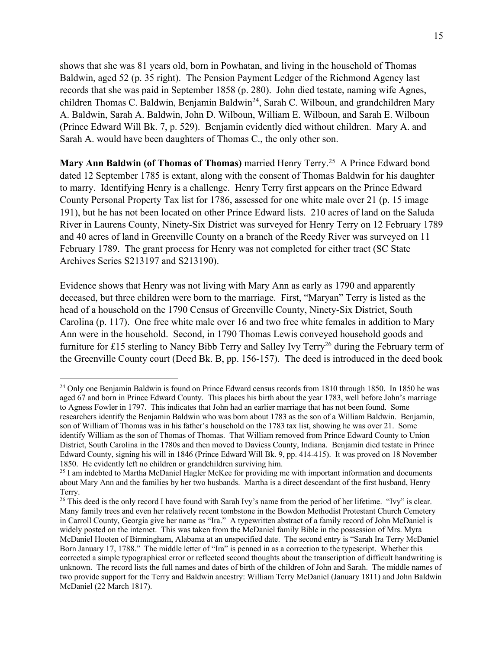shows that she was 81 years old, born in Powhatan, and living in the household of Thomas Baldwin, aged 52 (p. 35 right). The Pension Payment Ledger of the Richmond Agency last records that she was paid in September 1858 (p. 280). John died testate, naming wife Agnes, children Thomas C. Baldwin, Benjamin Baldwin<sup>24</sup>, Sarah C. Wilboun, and grandchildren Mary A. Baldwin, Sarah A. Baldwin, John D. Wilboun, William E. Wilboun, and Sarah E. Wilboun (Prince Edward Will Bk. 7, p. 529). Benjamin evidently died without children. Mary A. and Sarah A. would have been daughters of Thomas C., the only other son.

**Mary Ann Baldwin (of Thomas of Thomas)** married Henry Terry.25 A Prince Edward bond dated 12 September 1785 is extant, along with the consent of Thomas Baldwin for his daughter to marry. Identifying Henry is a challenge. Henry Terry first appears on the Prince Edward County Personal Property Tax list for 1786, assessed for one white male over 21 (p. 15 image 191), but he has not been located on other Prince Edward lists. 210 acres of land on the Saluda River in Laurens County, Ninety-Six District was surveyed for Henry Terry on 12 February 1789 and 40 acres of land in Greenville County on a branch of the Reedy River was surveyed on 11 February 1789. The grant process for Henry was not completed for either tract (SC State Archives Series S213197 and S213190).

Evidence shows that Henry was not living with Mary Ann as early as 1790 and apparently deceased, but three children were born to the marriage. First, "Maryan" Terry is listed as the head of a household on the 1790 Census of Greenville County, Ninety-Six District, South Carolina (p. 117). One free white male over 16 and two free white females in addition to Mary Ann were in the household. Second, in 1790 Thomas Lewis conveyed household goods and furniture for £15 sterling to Nancy Bibb Terry and Salley Ivy Terry<sup>26</sup> during the February term of the Greenville County court (Deed Bk. B, pp. 156-157). The deed is introduced in the deed book

<sup>&</sup>lt;sup>24</sup> Only one Benjamin Baldwin is found on Prince Edward census records from 1810 through 1850. In 1850 he was aged 67 and born in Prince Edward County. This places his birth about the year 1783, well before John's marriage to Agness Fowler in 1797. This indicates that John had an earlier marriage that has not been found. Some researchers identify the Benjamin Baldwin who was born about 1783 as the son of a William Baldwin. Benjamin, son of William of Thomas was in his father's household on the 1783 tax list, showing he was over 21. Some identify William as the son of Thomas of Thomas. That William removed from Prince Edward County to Union District, South Carolina in the 1780s and then moved to Daviess County, Indiana. Benjamin died testate in Prince Edward County, signing his will in 1846 (Prince Edward Will Bk. 9, pp. 414-415). It was proved on 18 November 1850. He evidently left no children or grandchildren surviving him.

 $25$  I am indebted to Martha McDaniel Hagler McKee for providing me with important information and documents about Mary Ann and the families by her two husbands. Martha is a direct descendant of the first husband, Henry Terry.

 $^{26}$  This deed is the only record I have found with Sarah Ivy's name from the period of her lifetime. "Ivy" is clear. Many family trees and even her relatively recent tombstone in the Bowdon Methodist Protestant Church Cemetery in Carroll County, Georgia give her name as "Ira." A typewritten abstract of a family record of John McDaniel is widely posted on the internet. This was taken from the McDaniel family Bible in the possession of Mrs. Myra McDaniel Hooten of Birmingham, Alabama at an unspecified date. The second entry is "Sarah Ira Terry McDaniel Born January 17, 1788." The middle letter of "Ira" is penned in as a correction to the typescript. Whether this corrected a simple typographical error or reflected second thoughts about the transcription of difficult handwriting is unknown. The record lists the full names and dates of birth of the children of John and Sarah. The middle names of two provide support for the Terry and Baldwin ancestry: William Terry McDaniel (January 1811) and John Baldwin McDaniel (22 March 1817).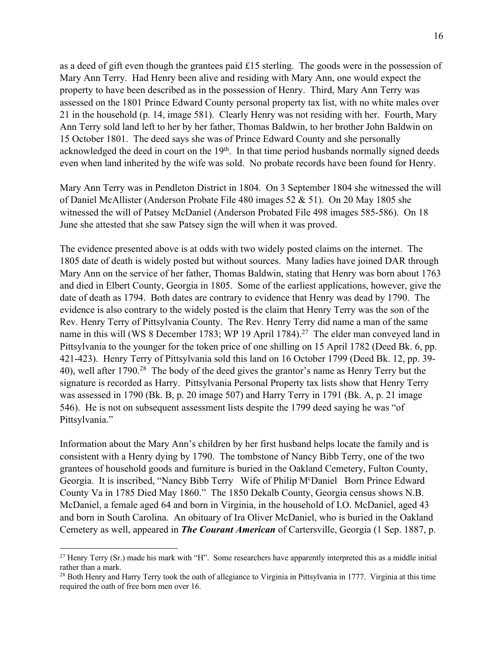as a deed of gift even though the grantees paid £15 sterling. The goods were in the possession of Mary Ann Terry. Had Henry been alive and residing with Mary Ann, one would expect the property to have been described as in the possession of Henry. Third, Mary Ann Terry was assessed on the 1801 Prince Edward County personal property tax list, with no white males over 21 in the household (p. 14, image 581). Clearly Henry was not residing with her. Fourth, Mary Ann Terry sold land left to her by her father, Thomas Baldwin, to her brother John Baldwin on 15 October 1801. The deed says she was of Prince Edward County and she personally acknowledged the deed in court on the  $19<sup>th</sup>$ . In that time period husbands normally signed deeds even when land inherited by the wife was sold. No probate records have been found for Henry.

Mary Ann Terry was in Pendleton District in 1804. On 3 September 1804 she witnessed the will of Daniel McAllister (Anderson Probate File 480 images 52 & 51). On 20 May 1805 she witnessed the will of Patsey McDaniel (Anderson Probated File 498 images 585-586). On 18 June she attested that she saw Patsey sign the will when it was proved.

The evidence presented above is at odds with two widely posted claims on the internet. The 1805 date of death is widely posted but without sources. Many ladies have joined DAR through Mary Ann on the service of her father, Thomas Baldwin, stating that Henry was born about 1763 and died in Elbert County, Georgia in 1805. Some of the earliest applications, however, give the date of death as 1794. Both dates are contrary to evidence that Henry was dead by 1790. The evidence is also contrary to the widely posted is the claim that Henry Terry was the son of the Rev. Henry Terry of Pittsylvania County. The Rev. Henry Terry did name a man of the same name in this will (WS 8 December 1783; WP 19 April 1784).<sup>27</sup> The elder man conveyed land in Pittsylvania to the younger for the token price of one shilling on 15 April 1782 (Deed Bk. 6, pp. 421-423). Henry Terry of Pittsylvania sold this land on 16 October 1799 (Deed Bk. 12, pp. 39- 40), well after 1790.<sup>28</sup> The body of the deed gives the grantor's name as Henry Terry but the signature is recorded as Harry. Pittsylvania Personal Property tax lists show that Henry Terry was assessed in 1790 (Bk. B, p. 20 image 507) and Harry Terry in 1791 (Bk. A, p. 21 image 546). He is not on subsequent assessment lists despite the 1799 deed saying he was "of Pittsylvania."

Information about the Mary Ann's children by her first husband helps locate the family and is consistent with a Henry dying by 1790. The tombstone of Nancy Bibb Terry, one of the two grantees of household goods and furniture is buried in the Oakland Cemetery, Fulton County, Georgia. It is inscribed, "Nancy Bibb Terry Wife of Philip McDaniel Born Prince Edward County Va in 1785 Died May 1860." The 1850 Dekalb County, Georgia census shows N.B. McDaniel, a female aged 64 and born in Virginia, in the household of I.O. McDaniel, aged 43 and born in South Carolina. An obituary of Ira Oliver McDaniel, who is buried in the Oakland Cemetery as well, appeared in *The Courant American* of Cartersville, Georgia (1 Sep. 1887, p.

<sup>&</sup>lt;sup>27</sup> Henry Terry (Sr.) made his mark with "H". Some researchers have apparently interpreted this as a middle initial rather than a mark.

<sup>&</sup>lt;sup>28</sup> Both Henry and Harry Terry took the oath of allegiance to Virginia in Pittsylvania in 1777. Virginia at this time required the oath of free born men over 16.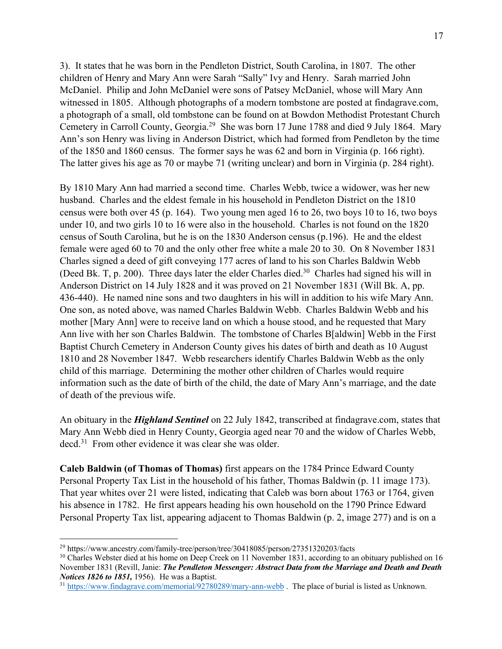3). It states that he was born in the Pendleton District, South Carolina, in 1807. The other children of Henry and Mary Ann were Sarah "Sally" Ivy and Henry. Sarah married John McDaniel. Philip and John McDaniel were sons of Patsey McDaniel, whose will Mary Ann witnessed in 1805. Although photographs of a modern tombstone are posted at findagrave.com, a photograph of a small, old tombstone can be found on at Bowdon Methodist Protestant Church Cemetery in Carroll County, Georgia.<sup>29</sup> She was born 17 June 1788 and died 9 July 1864. Mary Ann's son Henry was living in Anderson District, which had formed from Pendleton by the time of the 1850 and 1860 census. The former says he was 62 and born in Virginia (p. 166 right). The latter gives his age as 70 or maybe 71 (writing unclear) and born in Virginia (p. 284 right).

By 1810 Mary Ann had married a second time. Charles Webb, twice a widower, was her new husband. Charles and the eldest female in his household in Pendleton District on the 1810 census were both over 45 (p. 164). Two young men aged 16 to 26, two boys 10 to 16, two boys under 10, and two girls 10 to 16 were also in the household. Charles is not found on the 1820 census of South Carolina, but he is on the 1830 Anderson census (p.196). He and the eldest female were aged 60 to 70 and the only other free white a male 20 to 30. On 8 November 1831 Charles signed a deed of gift conveying 177 acres of land to his son Charles Baldwin Webb (Deed Bk. T, p. 200). Three days later the elder Charles died.<sup>30</sup> Charles had signed his will in Anderson District on 14 July 1828 and it was proved on 21 November 1831 (Will Bk. A, pp. 436-440). He named nine sons and two daughters in his will in addition to his wife Mary Ann. One son, as noted above, was named Charles Baldwin Webb. Charles Baldwin Webb and his mother [Mary Ann] were to receive land on which a house stood, and he requested that Mary Ann live with her son Charles Baldwin. The tombstone of Charles B[aldwin] Webb in the First Baptist Church Cemetery in Anderson County gives his dates of birth and death as 10 August 1810 and 28 November 1847. Webb researchers identify Charles Baldwin Webb as the only child of this marriage. Determining the mother other children of Charles would require information such as the date of birth of the child, the date of Mary Ann's marriage, and the date of death of the previous wife.

An obituary in the *Highland Sentinel* on 22 July 1842, transcribed at findagrave.com, states that Mary Ann Webb died in Henry County, Georgia aged near 70 and the widow of Charles Webb, decd.31 From other evidence it was clear she was older.

**Caleb Baldwin (of Thomas of Thomas)** first appears on the 1784 Prince Edward County Personal Property Tax List in the household of his father, Thomas Baldwin (p. 11 image 173). That year whites over 21 were listed, indicating that Caleb was born about 1763 or 1764, given his absence in 1782. He first appears heading his own household on the 1790 Prince Edward Personal Property Tax list, appearing adjacent to Thomas Baldwin (p. 2, image 277) and is on a

<sup>29</sup> https://www.ancestry.com/family-tree/person/tree/30418085/person/27351320203/facts

<sup>&</sup>lt;sup>30</sup> Charles Webster died at his home on Deep Creek on 11 November 1831, according to an obituary published on 16 November 1831 (Revill, Janie: *The Pendleton Messenger: Abstract Data from the Marriage and Death and Death Notices 1826 to 1851,* 1956). He was a Baptist.

<sup>31</sup> https://www.findagrave.com/memorial/92780289/mary-ann-webb . The place of burial is listed as Unknown.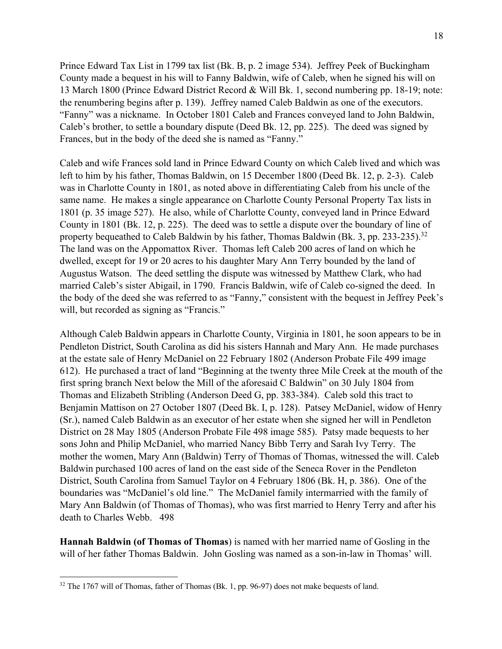Prince Edward Tax List in 1799 tax list (Bk. B, p. 2 image 534). Jeffrey Peek of Buckingham County made a bequest in his will to Fanny Baldwin, wife of Caleb, when he signed his will on 13 March 1800 (Prince Edward District Record & Will Bk. 1, second numbering pp. 18-19; note: the renumbering begins after p. 139). Jeffrey named Caleb Baldwin as one of the executors. "Fanny" was a nickname. In October 1801 Caleb and Frances conveyed land to John Baldwin, Caleb's brother, to settle a boundary dispute (Deed Bk. 12, pp. 225). The deed was signed by Frances, but in the body of the deed she is named as "Fanny."

Caleb and wife Frances sold land in Prince Edward County on which Caleb lived and which was left to him by his father, Thomas Baldwin, on 15 December 1800 (Deed Bk. 12, p. 2-3). Caleb was in Charlotte County in 1801, as noted above in differentiating Caleb from his uncle of the same name. He makes a single appearance on Charlotte County Personal Property Tax lists in 1801 (p. 35 image 527). He also, while of Charlotte County, conveyed land in Prince Edward County in 1801 (Bk. 12, p. 225). The deed was to settle a dispute over the boundary of line of property bequeathed to Caleb Baldwin by his father, Thomas Baldwin (Bk. 3, pp. 233-235).<sup>32</sup> The land was on the Appomattox River. Thomas left Caleb 200 acres of land on which he dwelled, except for 19 or 20 acres to his daughter Mary Ann Terry bounded by the land of Augustus Watson. The deed settling the dispute was witnessed by Matthew Clark, who had married Caleb's sister Abigail, in 1790. Francis Baldwin, wife of Caleb co-signed the deed. In the body of the deed she was referred to as "Fanny," consistent with the bequest in Jeffrey Peek's will, but recorded as signing as "Francis."

Although Caleb Baldwin appears in Charlotte County, Virginia in 1801, he soon appears to be in Pendleton District, South Carolina as did his sisters Hannah and Mary Ann. He made purchases at the estate sale of Henry McDaniel on 22 February 1802 (Anderson Probate File 499 image 612). He purchased a tract of land "Beginning at the twenty three Mile Creek at the mouth of the first spring branch Next below the Mill of the aforesaid C Baldwin" on 30 July 1804 from Thomas and Elizabeth Stribling (Anderson Deed G, pp. 383-384). Caleb sold this tract to Benjamin Mattison on 27 October 1807 (Deed Bk. I, p. 128). Patsey McDaniel, widow of Henry (Sr.), named Caleb Baldwin as an executor of her estate when she signed her will in Pendleton District on 28 May 1805 (Anderson Probate File 498 image 585). Patsy made bequests to her sons John and Philip McDaniel, who married Nancy Bibb Terry and Sarah Ivy Terry. The mother the women, Mary Ann (Baldwin) Terry of Thomas of Thomas, witnessed the will. Caleb Baldwin purchased 100 acres of land on the east side of the Seneca Rover in the Pendleton District, South Carolina from Samuel Taylor on 4 February 1806 (Bk. H, p. 386). One of the boundaries was "McDaniel's old line." The McDaniel family intermarried with the family of Mary Ann Baldwin (of Thomas of Thomas), who was first married to Henry Terry and after his death to Charles Webb. 498

**Hannah Baldwin (of Thomas of Thomas**) is named with her married name of Gosling in the will of her father Thomas Baldwin. John Gosling was named as a son-in-law in Thomas' will.

<sup>&</sup>lt;sup>32</sup> The 1767 will of Thomas, father of Thomas (Bk. 1, pp. 96-97) does not make bequests of land.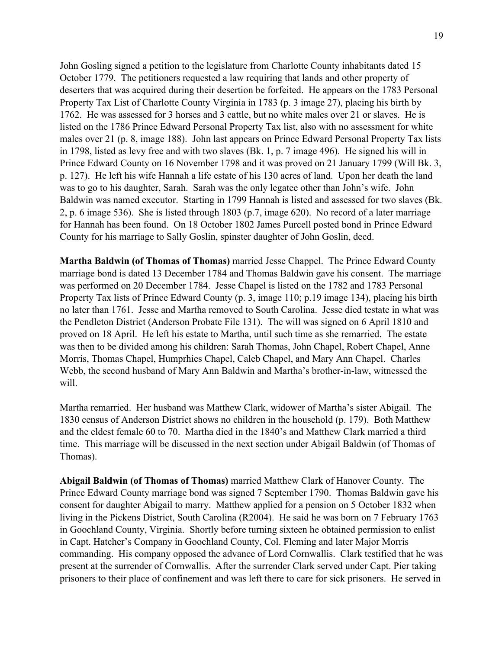John Gosling signed a petition to the legislature from Charlotte County inhabitants dated 15 October 1779. The petitioners requested a law requiring that lands and other property of deserters that was acquired during their desertion be forfeited. He appears on the 1783 Personal Property Tax List of Charlotte County Virginia in 1783 (p. 3 image 27), placing his birth by 1762. He was assessed for 3 horses and 3 cattle, but no white males over 21 or slaves. He is listed on the 1786 Prince Edward Personal Property Tax list, also with no assessment for white males over 21 (p. 8, image 188). John last appears on Prince Edward Personal Property Tax lists in 1798, listed as levy free and with two slaves (Bk. 1, p. 7 image 496). He signed his will in Prince Edward County on 16 November 1798 and it was proved on 21 January 1799 (Will Bk. 3, p. 127). He left his wife Hannah a life estate of his 130 acres of land. Upon her death the land was to go to his daughter, Sarah. Sarah was the only legatee other than John's wife. John Baldwin was named executor. Starting in 1799 Hannah is listed and assessed for two slaves (Bk. 2, p. 6 image 536). She is listed through 1803 (p.7, image 620). No record of a later marriage for Hannah has been found. On 18 October 1802 James Purcell posted bond in Prince Edward County for his marriage to Sally Goslin, spinster daughter of John Goslin, decd.

**Martha Baldwin (of Thomas of Thomas)** married Jesse Chappel. The Prince Edward County marriage bond is dated 13 December 1784 and Thomas Baldwin gave his consent. The marriage was performed on 20 December 1784. Jesse Chapel is listed on the 1782 and 1783 Personal Property Tax lists of Prince Edward County (p. 3, image 110; p.19 image 134), placing his birth no later than 1761. Jesse and Martha removed to South Carolina. Jesse died testate in what was the Pendleton District (Anderson Probate File 131). The will was signed on 6 April 1810 and proved on 18 April. He left his estate to Martha, until such time as she remarried. The estate was then to be divided among his children: Sarah Thomas, John Chapel, Robert Chapel, Anne Morris, Thomas Chapel, Humprhies Chapel, Caleb Chapel, and Mary Ann Chapel. Charles Webb, the second husband of Mary Ann Baldwin and Martha's brother-in-law, witnessed the will.

Martha remarried. Her husband was Matthew Clark, widower of Martha's sister Abigail. The 1830 census of Anderson District shows no children in the household (p. 179). Both Matthew and the eldest female 60 to 70. Martha died in the 1840's and Matthew Clark married a third time. This marriage will be discussed in the next section under Abigail Baldwin (of Thomas of Thomas).

**Abigail Baldwin (of Thomas of Thomas)** married Matthew Clark of Hanover County. The Prince Edward County marriage bond was signed 7 September 1790. Thomas Baldwin gave his consent for daughter Abigail to marry. Matthew applied for a pension on 5 October 1832 when living in the Pickens District, South Carolina (R2004). He said he was born on 7 February 1763 in Goochland County, Virginia. Shortly before turning sixteen he obtained permission to enlist in Capt. Hatcher's Company in Goochland County, Col. Fleming and later Major Morris commanding. His company opposed the advance of Lord Cornwallis. Clark testified that he was present at the surrender of Cornwallis. After the surrender Clark served under Capt. Pier taking prisoners to their place of confinement and was left there to care for sick prisoners. He served in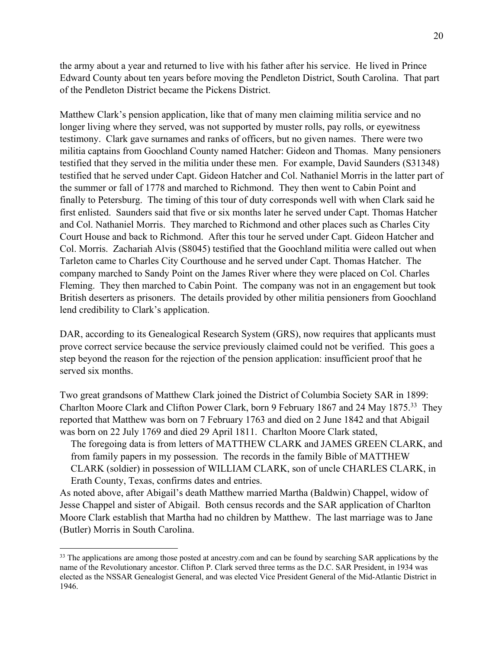the army about a year and returned to live with his father after his service. He lived in Prince Edward County about ten years before moving the Pendleton District, South Carolina. That part of the Pendleton District became the Pickens District.

Matthew Clark's pension application, like that of many men claiming militia service and no longer living where they served, was not supported by muster rolls, pay rolls, or eyewitness testimony. Clark gave surnames and ranks of officers, but no given names. There were two militia captains from Goochland County named Hatcher: Gideon and Thomas. Many pensioners testified that they served in the militia under these men. For example, David Saunders (S31348) testified that he served under Capt. Gideon Hatcher and Col. Nathaniel Morris in the latter part of the summer or fall of 1778 and marched to Richmond. They then went to Cabin Point and finally to Petersburg. The timing of this tour of duty corresponds well with when Clark said he first enlisted. Saunders said that five or six months later he served under Capt. Thomas Hatcher and Col. Nathaniel Morris. They marched to Richmond and other places such as Charles City Court House and back to Richmond. After this tour he served under Capt. Gideon Hatcher and Col. Morris. Zachariah Alvis (S8045) testified that the Goochland militia were called out when Tarleton came to Charles City Courthouse and he served under Capt. Thomas Hatcher. The company marched to Sandy Point on the James River where they were placed on Col. Charles Fleming. They then marched to Cabin Point. The company was not in an engagement but took British deserters as prisoners. The details provided by other militia pensioners from Goochland lend credibility to Clark's application.

DAR, according to its Genealogical Research System (GRS), now requires that applicants must prove correct service because the service previously claimed could not be verified. This goes a step beyond the reason for the rejection of the pension application: insufficient proof that he served six months.

Two great grandsons of Matthew Clark joined the District of Columbia Society SAR in 1899: Charlton Moore Clark and Clifton Power Clark, born 9 February 1867 and 24 May 1875.33 They reported that Matthew was born on 7 February 1763 and died on 2 June 1842 and that Abigail was born on 22 July 1769 and died 29 April 1811. Charlton Moore Clark stated,

The foregoing data is from letters of MATTHEW CLARK and JAMES GREEN CLARK, and from family papers in my possession. The records in the family Bible of MATTHEW CLARK (soldier) in possession of WILLIAM CLARK, son of uncle CHARLES CLARK, in Erath County, Texas, confirms dates and entries.

As noted above, after Abigail's death Matthew married Martha (Baldwin) Chappel, widow of Jesse Chappel and sister of Abigail. Both census records and the SAR application of Charlton Moore Clark establish that Martha had no children by Matthew. The last marriage was to Jane (Butler) Morris in South Carolina.

<sup>&</sup>lt;sup>33</sup> The applications are among those posted at ancestry.com and can be found by searching SAR applications by the name of the Revolutionary ancestor. Clifton P. Clark served three terms as the D.C. SAR President, in 1934 was elected as the NSSAR Genealogist General, and was elected Vice President General of the Mid-Atlantic District in 1946.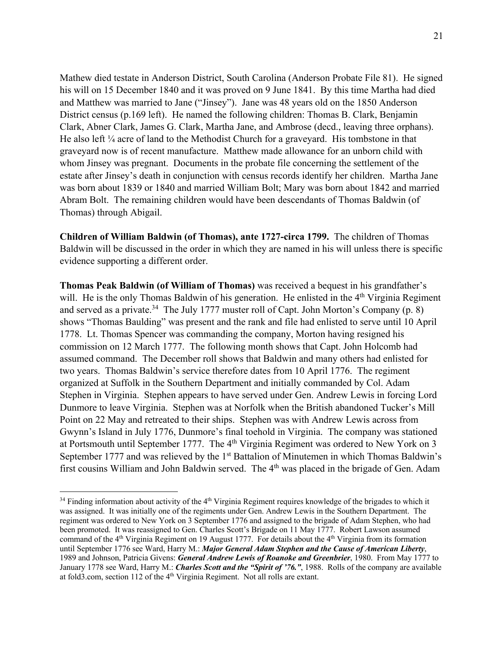Mathew died testate in Anderson District, South Carolina (Anderson Probate File 81). He signed his will on 15 December 1840 and it was proved on 9 June 1841. By this time Martha had died and Matthew was married to Jane ("Jinsey"). Jane was 48 years old on the 1850 Anderson District census (p.169 left). He named the following children: Thomas B. Clark, Benjamin Clark, Abner Clark, James G. Clark, Martha Jane, and Ambrose (decd., leaving three orphans). He also left  $\frac{1}{4}$  acre of land to the Methodist Church for a graveyard. His tombstone in that graveyard now is of recent manufacture. Matthew made allowance for an unborn child with whom Jinsey was pregnant. Documents in the probate file concerning the settlement of the estate after Jinsey's death in conjunction with census records identify her children. Martha Jane was born about 1839 or 1840 and married William Bolt; Mary was born about 1842 and married Abram Bolt. The remaining children would have been descendants of Thomas Baldwin (of Thomas) through Abigail.

**Children of William Baldwin (of Thomas), ante 1727-circa 1799.** The children of Thomas Baldwin will be discussed in the order in which they are named in his will unless there is specific evidence supporting a different order.

**Thomas Peak Baldwin (of William of Thomas)** was received a bequest in his grandfather's will. He is the only Thomas Baldwin of his generation. He enlisted in the 4<sup>th</sup> Virginia Regiment and served as a private.<sup>34</sup> The July 1777 muster roll of Capt. John Morton's Company (p. 8) shows "Thomas Baulding" was present and the rank and file had enlisted to serve until 10 April 1778. Lt. Thomas Spencer was commanding the company, Morton having resigned his commission on 12 March 1777. The following month shows that Capt. John Holcomb had assumed command. The December roll shows that Baldwin and many others had enlisted for two years. Thomas Baldwin's service therefore dates from 10 April 1776. The regiment organized at Suffolk in the Southern Department and initially commanded by Col. Adam Stephen in Virginia. Stephen appears to have served under Gen. Andrew Lewis in forcing Lord Dunmore to leave Virginia. Stephen was at Norfolk when the British abandoned Tucker's Mill Point on 22 May and retreated to their ships. Stephen was with Andrew Lewis across from Gwynn's Island in July 1776, Dunmore's final toehold in Virginia. The company was stationed at Portsmouth until September 1777. The 4<sup>th</sup> Virginia Regiment was ordered to New York on 3 September 1777 and was relieved by the 1<sup>st</sup> Battalion of Minutemen in which Thomas Baldwin's first cousins William and John Baldwin served. The 4<sup>th</sup> was placed in the brigade of Gen. Adam

 $34$  Finding information about activity of the  $4<sup>th</sup>$  Virginia Regiment requires knowledge of the brigades to which it was assigned. It was initially one of the regiments under Gen. Andrew Lewis in the Southern Department. The regiment was ordered to New York on 3 September 1776 and assigned to the brigade of Adam Stephen, who had been promoted. It was reassigned to Gen. Charles Scott's Brigade on 11 May 1777. Robert Lawson assumed command of the 4th Virginia Regiment on 19 August 1777. For details about the 4th Virginia from its formation until September 1776 see Ward, Harry M.: *Major General Adam Stephen and the Cause of American Liberty*, 1989 and Johnson, Patricia Givens: *General Andrew Lewis of Roanoke and Greenbrier*, 1980. From May 1777 to January 1778 see Ward, Harry M.: *Charles Scott and the "Spirit of '76."*, 1988. Rolls of the company are available at fold3.com, section 112 of the 4<sup>th</sup> Virginia Regiment. Not all rolls are extant.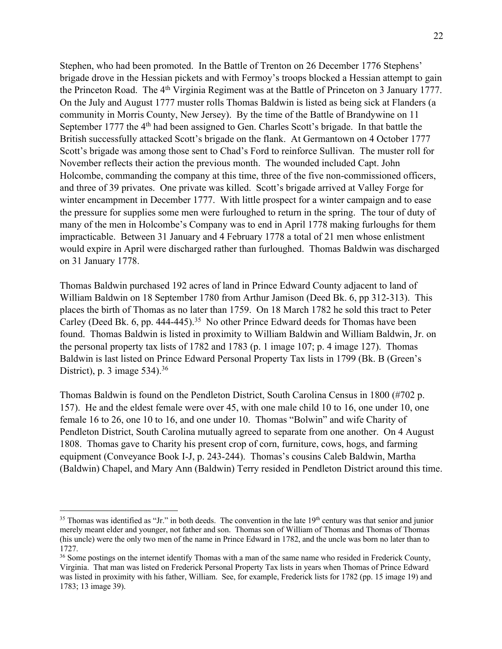Stephen, who had been promoted. In the Battle of Trenton on 26 December 1776 Stephens' brigade drove in the Hessian pickets and with Fermoy's troops blocked a Hessian attempt to gain the Princeton Road. The 4<sup>th</sup> Virginia Regiment was at the Battle of Princeton on 3 January 1777. On the July and August 1777 muster rolls Thomas Baldwin is listed as being sick at Flanders (a community in Morris County, New Jersey). By the time of the Battle of Brandywine on 11 September 1777 the 4<sup>th</sup> had been assigned to Gen. Charles Scott's brigade. In that battle the British successfully attacked Scott's brigade on the flank. At Germantown on 4 October 1777 Scott's brigade was among those sent to Chad's Ford to reinforce Sullivan. The muster roll for November reflects their action the previous month. The wounded included Capt. John Holcombe, commanding the company at this time, three of the five non-commissioned officers, and three of 39 privates. One private was killed. Scott's brigade arrived at Valley Forge for winter encampment in December 1777. With little prospect for a winter campaign and to ease the pressure for supplies some men were furloughed to return in the spring. The tour of duty of many of the men in Holcombe's Company was to end in April 1778 making furloughs for them impracticable. Between 31 January and 4 February 1778 a total of 21 men whose enlistment would expire in April were discharged rather than furloughed. Thomas Baldwin was discharged on 31 January 1778.

Thomas Baldwin purchased 192 acres of land in Prince Edward County adjacent to land of William Baldwin on 18 September 1780 from Arthur Jamison (Deed Bk. 6, pp 312-313). This places the birth of Thomas as no later than 1759. On 18 March 1782 he sold this tract to Peter Carley (Deed Bk. 6, pp. 444-445).<sup>35</sup> No other Prince Edward deeds for Thomas have been found. Thomas Baldwin is listed in proximity to William Baldwin and William Baldwin, Jr. on the personal property tax lists of 1782 and 1783 (p. 1 image 107; p. 4 image 127). Thomas Baldwin is last listed on Prince Edward Personal Property Tax lists in 1799 (Bk. B (Green's District), p. 3 image  $534$ .<sup>36</sup>

Thomas Baldwin is found on the Pendleton District, South Carolina Census in 1800 (#702 p. 157). He and the eldest female were over 45, with one male child 10 to 16, one under 10, one female 16 to 26, one 10 to 16, and one under 10. Thomas "Bolwin" and wife Charity of Pendleton District, South Carolina mutually agreed to separate from one another. On 4 August 1808. Thomas gave to Charity his present crop of corn, furniture, cows, hogs, and farming equipment (Conveyance Book I-J, p. 243-244). Thomas's cousins Caleb Baldwin, Martha (Baldwin) Chapel, and Mary Ann (Baldwin) Terry resided in Pendleton District around this time.

 $35$  Thomas was identified as "Jr." in both deeds. The convention in the late  $19<sup>th</sup>$  century was that senior and junior merely meant elder and younger, not father and son. Thomas son of William of Thomas and Thomas of Thomas (his uncle) were the only two men of the name in Prince Edward in 1782, and the uncle was born no later than to 1727.

<sup>&</sup>lt;sup>36</sup> Some postings on the internet identify Thomas with a man of the same name who resided in Frederick County, Virginia. That man was listed on Frederick Personal Property Tax lists in years when Thomas of Prince Edward was listed in proximity with his father, William. See, for example, Frederick lists for 1782 (pp. 15 image 19) and 1783; 13 image 39).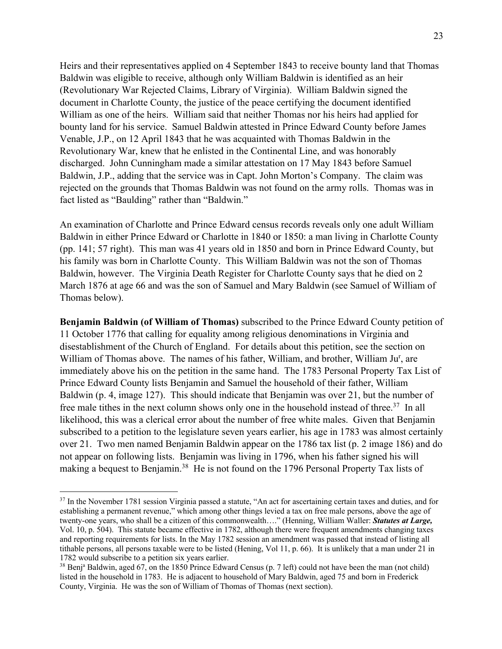Heirs and their representatives applied on 4 September 1843 to receive bounty land that Thomas Baldwin was eligible to receive, although only William Baldwin is identified as an heir (Revolutionary War Rejected Claims, Library of Virginia). William Baldwin signed the document in Charlotte County, the justice of the peace certifying the document identified William as one of the heirs. William said that neither Thomas nor his heirs had applied for bounty land for his service. Samuel Baldwin attested in Prince Edward County before James Venable, J.P., on 12 April 1843 that he was acquainted with Thomas Baldwin in the Revolutionary War, knew that he enlisted in the Continental Line, and was honorably discharged. John Cunningham made a similar attestation on 17 May 1843 before Samuel Baldwin, J.P., adding that the service was in Capt. John Morton's Company. The claim was rejected on the grounds that Thomas Baldwin was not found on the army rolls. Thomas was in fact listed as "Baulding" rather than "Baldwin."

An examination of Charlotte and Prince Edward census records reveals only one adult William Baldwin in either Prince Edward or Charlotte in 1840 or 1850: a man living in Charlotte County (pp. 141; 57 right). This man was 41 years old in 1850 and born in Prince Edward County, but his family was born in Charlotte County. This William Baldwin was not the son of Thomas Baldwin, however. The Virginia Death Register for Charlotte County says that he died on 2 March 1876 at age 66 and was the son of Samuel and Mary Baldwin (see Samuel of William of Thomas below).

**Benjamin Baldwin (of William of Thomas)** subscribed to the Prince Edward County petition of 11 October 1776 that calling for equality among religious denominations in Virginia and disestablishment of the Church of England. For details about this petition, see the section on William of Thomas above. The names of his father, William, and brother, William Ju<sup>r</sup>, are immediately above his on the petition in the same hand. The 1783 Personal Property Tax List of Prince Edward County lists Benjamin and Samuel the household of their father, William Baldwin (p. 4, image 127). This should indicate that Benjamin was over 21, but the number of free male tithes in the next column shows only one in the household instead of three.<sup>37</sup> In all likelihood, this was a clerical error about the number of free white males. Given that Benjamin subscribed to a petition to the legislature seven years earlier, his age in 1783 was almost certainly over 21. Two men named Benjamin Baldwin appear on the 1786 tax list (p. 2 image 186) and do not appear on following lists. Benjamin was living in 1796, when his father signed his will making a bequest to Benjamin.<sup>38</sup> He is not found on the 1796 Personal Property Tax lists of

 $37$  In the November 1781 session Virginia passed a statute, "An act for ascertaining certain taxes and duties, and for establishing a permanent revenue," which among other things levied a tax on free male persons, above the age of twenty-one years, who shall be a citizen of this commonwealth…." (Henning, William Waller: *Statutes at Large,* Vol. 10, p. 504). This statute became effective in 1782, although there were frequent amendments changing taxes and reporting requirements for lists. In the May 1782 session an amendment was passed that instead of listing all tithable persons, all persons taxable were to be listed (Hening, Vol 11, p. 66). It is unlikely that a man under 21 in 1782 would subscribe to a petition six years earlier.

<sup>&</sup>lt;sup>38</sup> Benj<sup>a</sup> Baldwin, aged 67, on the 1850 Prince Edward Census (p. 7 left) could not have been the man (not child) listed in the household in 1783. He is adjacent to household of Mary Baldwin, aged 75 and born in Frederick County, Virginia. He was the son of William of Thomas of Thomas (next section).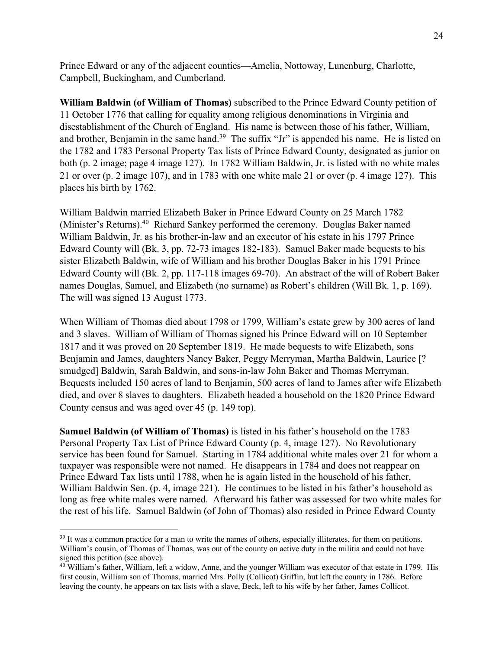Prince Edward or any of the adjacent counties—Amelia, Nottoway, Lunenburg, Charlotte, Campbell, Buckingham, and Cumberland.

**William Baldwin (of William of Thomas)** subscribed to the Prince Edward County petition of 11 October 1776 that calling for equality among religious denominations in Virginia and disestablishment of the Church of England. His name is between those of his father, William, and brother, Benjamin in the same hand.<sup>39</sup> The suffix "Jr" is appended his name. He is listed on the 1782 and 1783 Personal Property Tax lists of Prince Edward County, designated as junior on both (p. 2 image; page 4 image 127). In 1782 William Baldwin, Jr. is listed with no white males 21 or over (p. 2 image 107), and in 1783 with one white male 21 or over (p. 4 image 127). This places his birth by 1762.

William Baldwin married Elizabeth Baker in Prince Edward County on 25 March 1782 (Minister's Returns).40 Richard Sankey performed the ceremony. Douglas Baker named William Baldwin, Jr. as his brother-in-law and an executor of his estate in his 1797 Prince Edward County will (Bk. 3, pp. 72-73 images 182-183). Samuel Baker made bequests to his sister Elizabeth Baldwin, wife of William and his brother Douglas Baker in his 1791 Prince Edward County will (Bk. 2, pp. 117-118 images 69-70). An abstract of the will of Robert Baker names Douglas, Samuel, and Elizabeth (no surname) as Robert's children (Will Bk. 1, p. 169). The will was signed 13 August 1773.

When William of Thomas died about 1798 or 1799, William's estate grew by 300 acres of land and 3 slaves. William of William of Thomas signed his Prince Edward will on 10 September 1817 and it was proved on 20 September 1819. He made bequests to wife Elizabeth, sons Benjamin and James, daughters Nancy Baker, Peggy Merryman, Martha Baldwin, Laurice [? smudged] Baldwin, Sarah Baldwin, and sons-in-law John Baker and Thomas Merryman. Bequests included 150 acres of land to Benjamin, 500 acres of land to James after wife Elizabeth died, and over 8 slaves to daughters. Elizabeth headed a household on the 1820 Prince Edward County census and was aged over 45 (p. 149 top).

**Samuel Baldwin (of William of Thomas)** is listed in his father's household on the 1783 Personal Property Tax List of Prince Edward County (p. 4, image 127). No Revolutionary service has been found for Samuel. Starting in 1784 additional white males over 21 for whom a taxpayer was responsible were not named. He disappears in 1784 and does not reappear on Prince Edward Tax lists until 1788, when he is again listed in the household of his father, William Baldwin Sen. (p. 4, image 221). He continues to be listed in his father's household as long as free white males were named. Afterward his father was assessed for two white males for the rest of his life. Samuel Baldwin (of John of Thomas) also resided in Prince Edward County

<sup>&</sup>lt;sup>39</sup> It was a common practice for a man to write the names of others, especially illiterates, for them on petitions. William's cousin, of Thomas of Thomas, was out of the county on active duty in the militia and could not have signed this petition (see above).

<sup>&</sup>lt;sup>40</sup> William's father, William, left a widow, Anne, and the younger William was executor of that estate in 1799. His first cousin, William son of Thomas, married Mrs. Polly (Collicot) Griffin, but left the county in 1786. Before leaving the county, he appears on tax lists with a slave, Beck, left to his wife by her father, James Collicot.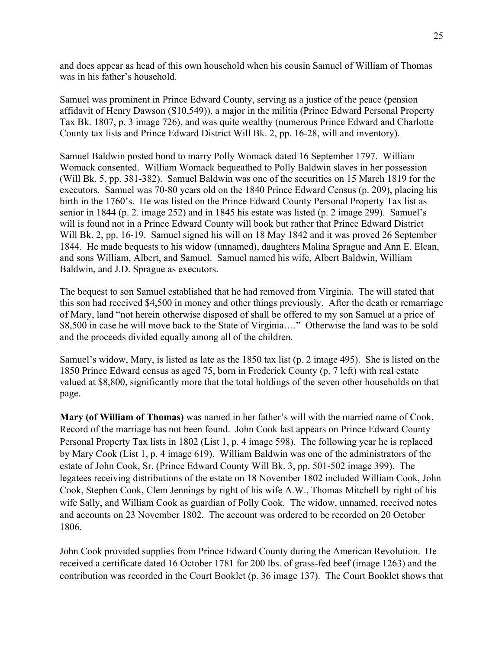and does appear as head of this own household when his cousin Samuel of William of Thomas was in his father's household.

Samuel was prominent in Prince Edward County, serving as a justice of the peace (pension affidavit of Henry Dawson (S10,549)), a major in the militia (Prince Edward Personal Property Tax Bk. 1807, p. 3 image 726), and was quite wealthy (numerous Prince Edward and Charlotte County tax lists and Prince Edward District Will Bk. 2, pp. 16-28, will and inventory).

Samuel Baldwin posted bond to marry Polly Womack dated 16 September 1797. William Womack consented. William Womack bequeathed to Polly Baldwin slaves in her possession (Will Bk. 5, pp. 381-382). Samuel Baldwin was one of the securities on 15 March 1819 for the executors. Samuel was 70-80 years old on the 1840 Prince Edward Census (p. 209), placing his birth in the 1760's. He was listed on the Prince Edward County Personal Property Tax list as senior in 1844 (p. 2. image 252) and in 1845 his estate was listed (p. 2 image 299). Samuel's will is found not in a Prince Edward County will book but rather that Prince Edward District Will Bk. 2, pp. 16-19. Samuel signed his will on 18 May 1842 and it was proved 26 September 1844. He made bequests to his widow (unnamed), daughters Malina Sprague and Ann E. Elcan, and sons William, Albert, and Samuel. Samuel named his wife, Albert Baldwin, William Baldwin, and J.D. Sprague as executors.

The bequest to son Samuel established that he had removed from Virginia. The will stated that this son had received \$4,500 in money and other things previously. After the death or remarriage of Mary, land "not herein otherwise disposed of shall be offered to my son Samuel at a price of \$8,500 in case he will move back to the State of Virginia…." Otherwise the land was to be sold and the proceeds divided equally among all of the children.

Samuel's widow, Mary, is listed as late as the 1850 tax list (p. 2 image 495). She is listed on the 1850 Prince Edward census as aged 75, born in Frederick County (p. 7 left) with real estate valued at \$8,800, significantly more that the total holdings of the seven other households on that page.

**Mary (of William of Thomas)** was named in her father's will with the married name of Cook. Record of the marriage has not been found. John Cook last appears on Prince Edward County Personal Property Tax lists in 1802 (List 1, p. 4 image 598). The following year he is replaced by Mary Cook (List 1, p. 4 image 619). William Baldwin was one of the administrators of the estate of John Cook, Sr. (Prince Edward County Will Bk. 3, pp. 501-502 image 399). The legatees receiving distributions of the estate on 18 November 1802 included William Cook, John Cook, Stephen Cook, Clem Jennings by right of his wife A.W., Thomas Mitchell by right of his wife Sally, and William Cook as guardian of Polly Cook. The widow, unnamed, received notes and accounts on 23 November 1802. The account was ordered to be recorded on 20 October 1806.

John Cook provided supplies from Prince Edward County during the American Revolution. He received a certificate dated 16 October 1781 for 200 lbs. of grass-fed beef (image 1263) and the contribution was recorded in the Court Booklet (p. 36 image 137). The Court Booklet shows that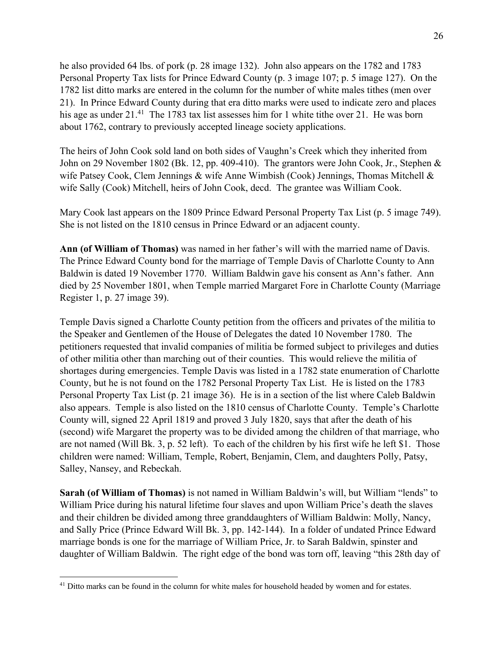he also provided 64 lbs. of pork (p. 28 image 132). John also appears on the 1782 and 1783 Personal Property Tax lists for Prince Edward County (p. 3 image 107; p. 5 image 127). On the 1782 list ditto marks are entered in the column for the number of white males tithes (men over 21). In Prince Edward County during that era ditto marks were used to indicate zero and places his age as under 21.<sup>41</sup> The 1783 tax list assesses him for 1 white tithe over 21. He was born about 1762, contrary to previously accepted lineage society applications.

The heirs of John Cook sold land on both sides of Vaughn's Creek which they inherited from John on 29 November 1802 (Bk. 12, pp. 409-410). The grantors were John Cook, Jr., Stephen & wife Patsey Cook, Clem Jennings & wife Anne Wimbish (Cook) Jennings, Thomas Mitchell & wife Sally (Cook) Mitchell, heirs of John Cook, decd. The grantee was William Cook.

Mary Cook last appears on the 1809 Prince Edward Personal Property Tax List (p. 5 image 749). She is not listed on the 1810 census in Prince Edward or an adjacent county.

**Ann (of William of Thomas)** was named in her father's will with the married name of Davis. The Prince Edward County bond for the marriage of Temple Davis of Charlotte County to Ann Baldwin is dated 19 November 1770. William Baldwin gave his consent as Ann's father. Ann died by 25 November 1801, when Temple married Margaret Fore in Charlotte County (Marriage Register 1, p. 27 image 39).

Temple Davis signed a Charlotte County petition from the officers and privates of the militia to the Speaker and Gentlemen of the House of Delegates the dated 10 November 1780. The petitioners requested that invalid companies of militia be formed subject to privileges and duties of other militia other than marching out of their counties. This would relieve the militia of shortages during emergencies. Temple Davis was listed in a 1782 state enumeration of Charlotte County, but he is not found on the 1782 Personal Property Tax List. He is listed on the 1783 Personal Property Tax List (p. 21 image 36). He is in a section of the list where Caleb Baldwin also appears. Temple is also listed on the 1810 census of Charlotte County. Temple's Charlotte County will, signed 22 April 1819 and proved 3 July 1820, says that after the death of his (second) wife Margaret the property was to be divided among the children of that marriage, who are not named (Will Bk. 3, p. 52 left). To each of the children by his first wife he left \$1. Those children were named: William, Temple, Robert, Benjamin, Clem, and daughters Polly, Patsy, Salley, Nansey, and Rebeckah.

**Sarah (of William of Thomas)** is not named in William Baldwin's will, but William "lends" to William Price during his natural lifetime four slaves and upon William Price's death the slaves and their children be divided among three granddaughters of William Baldwin: Molly, Nancy, and Sally Price (Prince Edward Will Bk. 3, pp. 142-144). In a folder of undated Prince Edward marriage bonds is one for the marriage of William Price, Jr. to Sarah Baldwin, spinster and daughter of William Baldwin. The right edge of the bond was torn off, leaving "this 28th day of

<sup>&</sup>lt;sup>41</sup> Ditto marks can be found in the column for white males for household headed by women and for estates.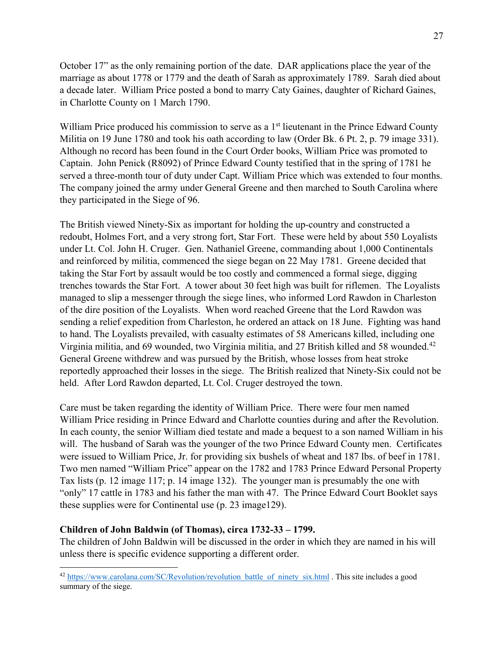October 17" as the only remaining portion of the date. DAR applications place the year of the marriage as about 1778 or 1779 and the death of Sarah as approximately 1789. Sarah died about a decade later. William Price posted a bond to marry Caty Gaines, daughter of Richard Gaines, in Charlotte County on 1 March 1790.

William Price produced his commission to serve as a 1<sup>st</sup> lieutenant in the Prince Edward County Militia on 19 June 1780 and took his oath according to law (Order Bk. 6 Pt. 2, p. 79 image 331). Although no record has been found in the Court Order books, William Price was promoted to Captain. John Penick (R8092) of Prince Edward County testified that in the spring of 1781 he served a three-month tour of duty under Capt. William Price which was extended to four months. The company joined the army under General Greene and then marched to South Carolina where they participated in the Siege of 96.

The British viewed Ninety-Six as important for holding the up-country and constructed a redoubt, Holmes Fort, and a very strong fort, Star Fort. These were held by about 550 Loyalists under Lt. Col. John H. Cruger. Gen. Nathaniel Greene, commanding about 1,000 Continentals and reinforced by militia, commenced the siege began on 22 May 1781. Greene decided that taking the Star Fort by assault would be too costly and commenced a formal siege, digging trenches towards the Star Fort. A tower about 30 feet high was built for riflemen. The Loyalists managed to slip a messenger through the siege lines, who informed Lord Rawdon in Charleston of the dire position of the Loyalists. When word reached Greene that the Lord Rawdon was sending a relief expedition from Charleston, he ordered an attack on 18 June. Fighting was hand to hand. The Loyalists prevailed, with casualty estimates of 58 Americans killed, including one Virginia militia, and 69 wounded, two Virginia militia, and 27 British killed and 58 wounded.<sup>42</sup> General Greene withdrew and was pursued by the British, whose losses from heat stroke reportedly approached their losses in the siege. The British realized that Ninety-Six could not be held. After Lord Rawdon departed, Lt. Col. Cruger destroyed the town.

Care must be taken regarding the identity of William Price. There were four men named William Price residing in Prince Edward and Charlotte counties during and after the Revolution. In each county, the senior William died testate and made a bequest to a son named William in his will. The husband of Sarah was the younger of the two Prince Edward County men. Certificates were issued to William Price, Jr. for providing six bushels of wheat and 187 lbs. of beef in 1781. Two men named "William Price" appear on the 1782 and 1783 Prince Edward Personal Property Tax lists (p. 12 image 117; p. 14 image 132). The younger man is presumably the one with "only" 17 cattle in 1783 and his father the man with 47. The Prince Edward Court Booklet says these supplies were for Continental use (p. 23 image129).

## **Children of John Baldwin (of Thomas), circa 1732-33 – 1799.**

The children of John Baldwin will be discussed in the order in which they are named in his will unless there is specific evidence supporting a different order.

<sup>&</sup>lt;sup>42</sup> https://www.carolana.com/SC/Revolution/revolution\_battle\_of\_ninety\_six.html . This site includes a good summary of the siege.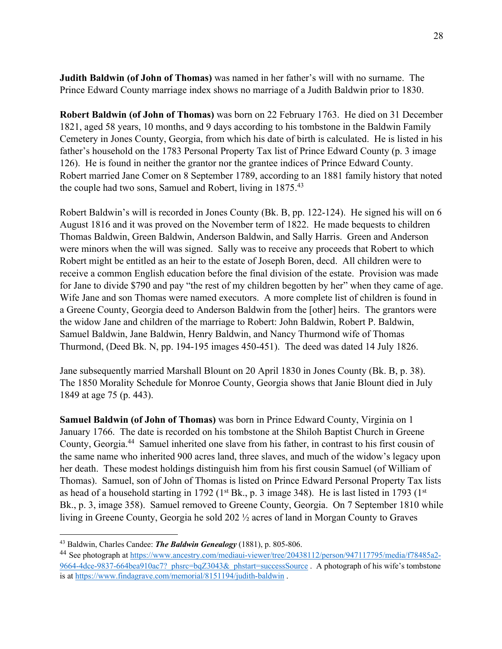**Judith Baldwin (of John of Thomas)** was named in her father's will with no surname. The Prince Edward County marriage index shows no marriage of a Judith Baldwin prior to 1830.

**Robert Baldwin (of John of Thomas)** was born on 22 February 1763. He died on 31 December 1821, aged 58 years, 10 months, and 9 days according to his tombstone in the Baldwin Family Cemetery in Jones County, Georgia, from which his date of birth is calculated. He is listed in his father's household on the 1783 Personal Property Tax list of Prince Edward County (p. 3 image 126). He is found in neither the grantor nor the grantee indices of Prince Edward County. Robert married Jane Comer on 8 September 1789, according to an 1881 family history that noted the couple had two sons, Samuel and Robert, living in 1875.<sup>43</sup>

Robert Baldwin's will is recorded in Jones County (Bk. B, pp. 122-124). He signed his will on 6 August 1816 and it was proved on the November term of 1822. He made bequests to children Thomas Baldwin, Green Baldwin, Anderson Baldwin, and Sally Harris. Green and Anderson were minors when the will was signed. Sally was to receive any proceeds that Robert to which Robert might be entitled as an heir to the estate of Joseph Boren, decd. All children were to receive a common English education before the final division of the estate. Provision was made for Jane to divide \$790 and pay "the rest of my children begotten by her" when they came of age. Wife Jane and son Thomas were named executors. A more complete list of children is found in a Greene County, Georgia deed to Anderson Baldwin from the [other] heirs. The grantors were the widow Jane and children of the marriage to Robert: John Baldwin, Robert P. Baldwin, Samuel Baldwin, Jane Baldwin, Henry Baldwin, and Nancy Thurmond wife of Thomas Thurmond, (Deed Bk. N, pp. 194-195 images 450-451). The deed was dated 14 July 1826.

Jane subsequently married Marshall Blount on 20 April 1830 in Jones County (Bk. B, p. 38). The 1850 Morality Schedule for Monroe County, Georgia shows that Janie Blount died in July 1849 at age 75 (p. 443).

**Samuel Baldwin (of John of Thomas)** was born in Prince Edward County, Virginia on 1 January 1766. The date is recorded on his tombstone at the Shiloh Baptist Church in Greene County, Georgia.44 Samuel inherited one slave from his father, in contrast to his first cousin of the same name who inherited 900 acres land, three slaves, and much of the widow's legacy upon her death. These modest holdings distinguish him from his first cousin Samuel (of William of Thomas). Samuel, son of John of Thomas is listed on Prince Edward Personal Property Tax lists as head of a household starting in 1792 (1<sup>st</sup> Bk., p. 3 image 348). He is last listed in 1793 (1<sup>st</sup> Bk., p. 3, image 358). Samuel removed to Greene County, Georgia. On 7 September 1810 while living in Greene County, Georgia he sold 202 ½ acres of land in Morgan County to Graves

<sup>43</sup> Baldwin, Charles Candee: *The Baldwin Genealogy* (1881), p. 805-806.

<sup>44</sup> See photograph at https://www.ancestry.com/mediaui-viewer/tree/20438112/person/947117795/media/f78485a2- 9664-4dce-9837-664bea910ac7?\_phsrc=bqZ3043&\_phstart=successSource . A photograph of his wife's tombstone is at https://www.findagrave.com/memorial/8151194/judith-baldwin .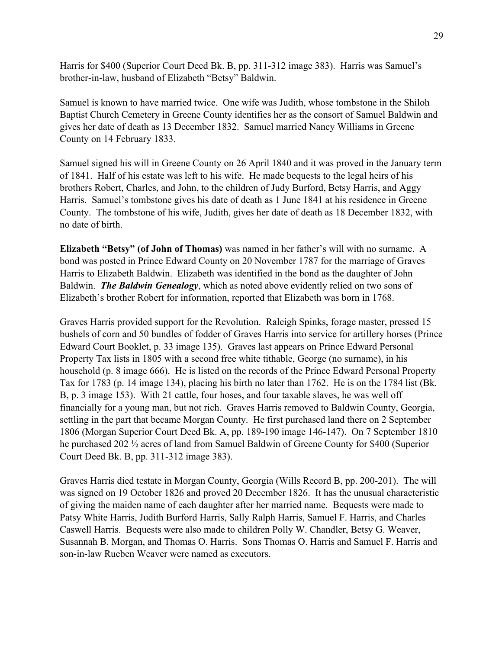Harris for \$400 (Superior Court Deed Bk. B, pp. 311-312 image 383). Harris was Samuel's brother-in-law, husband of Elizabeth "Betsy" Baldwin.

Samuel is known to have married twice. One wife was Judith, whose tombstone in the Shiloh Baptist Church Cemetery in Greene County identifies her as the consort of Samuel Baldwin and gives her date of death as 13 December 1832. Samuel married Nancy Williams in Greene County on 14 February 1833.

Samuel signed his will in Greene County on 26 April 1840 and it was proved in the January term of 1841. Half of his estate was left to his wife. He made bequests to the legal heirs of his brothers Robert, Charles, and John, to the children of Judy Burford, Betsy Harris, and Aggy Harris. Samuel's tombstone gives his date of death as 1 June 1841 at his residence in Greene County. The tombstone of his wife, Judith, gives her date of death as 18 December 1832, with no date of birth.

**Elizabeth "Betsy" (of John of Thomas)** was named in her father's will with no surname. A bond was posted in Prince Edward County on 20 November 1787 for the marriage of Graves Harris to Elizabeth Baldwin. Elizabeth was identified in the bond as the daughter of John Baldwin. *The Baldwin Genealogy*, which as noted above evidently relied on two sons of Elizabeth's brother Robert for information, reported that Elizabeth was born in 1768.

Graves Harris provided support for the Revolution. Raleigh Spinks, forage master, pressed 15 bushels of corn and 50 bundles of fodder of Graves Harris into service for artillery horses (Prince Edward Court Booklet, p. 33 image 135). Graves last appears on Prince Edward Personal Property Tax lists in 1805 with a second free white tithable, George (no surname), in his household (p. 8 image 666). He is listed on the records of the Prince Edward Personal Property Tax for 1783 (p. 14 image 134), placing his birth no later than 1762. He is on the 1784 list (Bk. B, p. 3 image 153). With 21 cattle, four hoses, and four taxable slaves, he was well off financially for a young man, but not rich. Graves Harris removed to Baldwin County, Georgia, settling in the part that became Morgan County. He first purchased land there on 2 September 1806 (Morgan Superior Court Deed Bk. A, pp. 189-190 image 146-147). On 7 September 1810 he purchased 202 ½ acres of land from Samuel Baldwin of Greene County for \$400 (Superior Court Deed Bk. B, pp. 311-312 image 383).

Graves Harris died testate in Morgan County, Georgia (Wills Record B, pp. 200-201). The will was signed on 19 October 1826 and proved 20 December 1826. It has the unusual characteristic of giving the maiden name of each daughter after her married name. Bequests were made to Patsy White Harris, Judith Burford Harris, Sally Ralph Harris, Samuel F. Harris, and Charles Caswell Harris. Bequests were also made to children Polly W. Chandler, Betsy G. Weaver, Susannah B. Morgan, and Thomas O. Harris. Sons Thomas O. Harris and Samuel F. Harris and son-in-law Rueben Weaver were named as executors.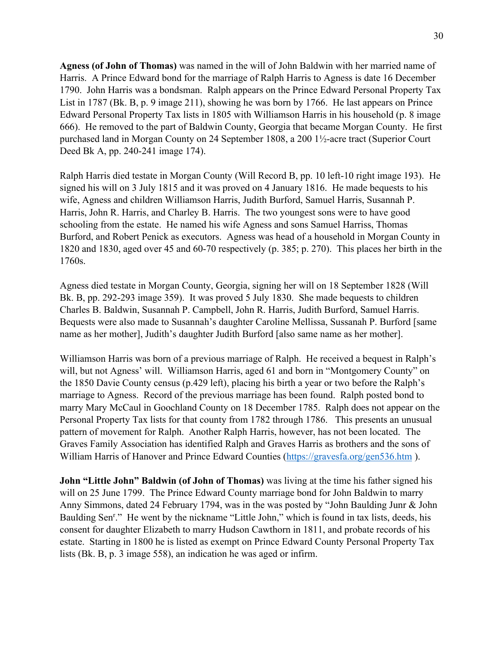**Agness (of John of Thomas)** was named in the will of John Baldwin with her married name of Harris. A Prince Edward bond for the marriage of Ralph Harris to Agness is date 16 December 1790. John Harris was a bondsman. Ralph appears on the Prince Edward Personal Property Tax List in 1787 (Bk. B, p. 9 image 211), showing he was born by 1766. He last appears on Prince Edward Personal Property Tax lists in 1805 with Williamson Harris in his household (p. 8 image 666). He removed to the part of Baldwin County, Georgia that became Morgan County. He first purchased land in Morgan County on 24 September 1808, a 200 1½-acre tract (Superior Court Deed Bk A, pp. 240-241 image 174).

Ralph Harris died testate in Morgan County (Will Record B, pp. 10 left-10 right image 193). He signed his will on 3 July 1815 and it was proved on 4 January 1816. He made bequests to his wife, Agness and children Williamson Harris, Judith Burford, Samuel Harris, Susannah P. Harris, John R. Harris, and Charley B. Harris. The two youngest sons were to have good schooling from the estate. He named his wife Agness and sons Samuel Harriss, Thomas Burford, and Robert Penick as executors. Agness was head of a household in Morgan County in 1820 and 1830, aged over 45 and 60-70 respectively (p. 385; p. 270). This places her birth in the 1760s.

Agness died testate in Morgan County, Georgia, signing her will on 18 September 1828 (Will Bk. B, pp. 292-293 image 359). It was proved 5 July 1830. She made bequests to children Charles B. Baldwin, Susannah P. Campbell, John R. Harris, Judith Burford, Samuel Harris. Bequests were also made to Susannah's daughter Caroline Mellissa, Sussanah P. Burford [same name as her mother], Judith's daughter Judith Burford [also same name as her mother].

Williamson Harris was born of a previous marriage of Ralph. He received a bequest in Ralph's will, but not Agness' will. Williamson Harris, aged 61 and born in "Montgomery County" on the 1850 Davie County census (p.429 left), placing his birth a year or two before the Ralph's marriage to Agness. Record of the previous marriage has been found. Ralph posted bond to marry Mary McCaul in Goochland County on 18 December 1785. Ralph does not appear on the Personal Property Tax lists for that county from 1782 through 1786. This presents an unusual pattern of movement for Ralph. Another Ralph Harris, however, has not been located. The Graves Family Association has identified Ralph and Graves Harris as brothers and the sons of William Harris of Hanover and Prince Edward Counties (https://gravesfa.org/gen536.htm ).

**John "Little John" Baldwin (of John of Thomas)** was living at the time his father signed his will on 25 June 1799. The Prince Edward County marriage bond for John Baldwin to marry Anny Simmons, dated 24 February 1794, was in the was posted by "John Baulding Junr & John Baulding Sen<sup>r</sup>." He went by the nickname "Little John," which is found in tax lists, deeds, his consent for daughter Elizabeth to marry Hudson Cawthorn in 1811, and probate records of his estate. Starting in 1800 he is listed as exempt on Prince Edward County Personal Property Tax lists (Bk. B, p. 3 image 558), an indication he was aged or infirm.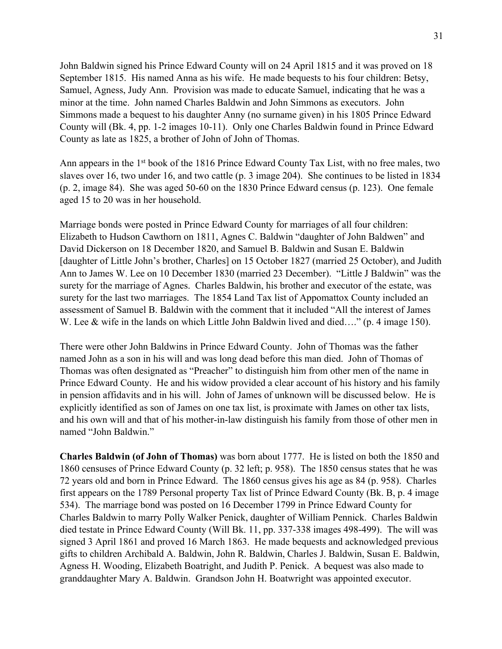John Baldwin signed his Prince Edward County will on 24 April 1815 and it was proved on 18 September 1815. His named Anna as his wife. He made bequests to his four children: Betsy, Samuel, Agness, Judy Ann. Provision was made to educate Samuel, indicating that he was a minor at the time. John named Charles Baldwin and John Simmons as executors. John Simmons made a bequest to his daughter Anny (no surname given) in his 1805 Prince Edward County will (Bk. 4, pp. 1-2 images 10-11). Only one Charles Baldwin found in Prince Edward County as late as 1825, a brother of John of John of Thomas.

Ann appears in the 1<sup>st</sup> book of the 1816 Prince Edward County Tax List, with no free males, two slaves over 16, two under 16, and two cattle (p. 3 image 204). She continues to be listed in 1834 (p. 2, image 84). She was aged 50-60 on the 1830 Prince Edward census (p. 123). One female aged 15 to 20 was in her household.

Marriage bonds were posted in Prince Edward County for marriages of all four children: Elizabeth to Hudson Cawthorn on 1811, Agnes C. Baldwin "daughter of John Baldwen" and David Dickerson on 18 December 1820, and Samuel B. Baldwin and Susan E. Baldwin [daughter of Little John's brother, Charles] on 15 October 1827 (married 25 October), and Judith Ann to James W. Lee on 10 December 1830 (married 23 December). "Little J Baldwin" was the surety for the marriage of Agnes. Charles Baldwin, his brother and executor of the estate, was surety for the last two marriages. The 1854 Land Tax list of Appomattox County included an assessment of Samuel B. Baldwin with the comment that it included "All the interest of James W. Lee & wife in the lands on which Little John Baldwin lived and died…." (p. 4 image 150).

There were other John Baldwins in Prince Edward County. John of Thomas was the father named John as a son in his will and was long dead before this man died. John of Thomas of Thomas was often designated as "Preacher" to distinguish him from other men of the name in Prince Edward County. He and his widow provided a clear account of his history and his family in pension affidavits and in his will. John of James of unknown will be discussed below. He is explicitly identified as son of James on one tax list, is proximate with James on other tax lists, and his own will and that of his mother-in-law distinguish his family from those of other men in named "John Baldwin."

**Charles Baldwin (of John of Thomas)** was born about 1777. He is listed on both the 1850 and 1860 censuses of Prince Edward County (p. 32 left; p. 958). The 1850 census states that he was 72 years old and born in Prince Edward. The 1860 census gives his age as 84 (p. 958). Charles first appears on the 1789 Personal property Tax list of Prince Edward County (Bk. B, p. 4 image 534). The marriage bond was posted on 16 December 1799 in Prince Edward County for Charles Baldwin to marry Polly Walker Penick, daughter of William Pennick. Charles Baldwin died testate in Prince Edward County (Will Bk. 11, pp. 337-338 images 498-499). The will was signed 3 April 1861 and proved 16 March 1863. He made bequests and acknowledged previous gifts to children Archibald A. Baldwin, John R. Baldwin, Charles J. Baldwin, Susan E. Baldwin, Agness H. Wooding, Elizabeth Boatright, and Judith P. Penick. A bequest was also made to granddaughter Mary A. Baldwin. Grandson John H. Boatwright was appointed executor.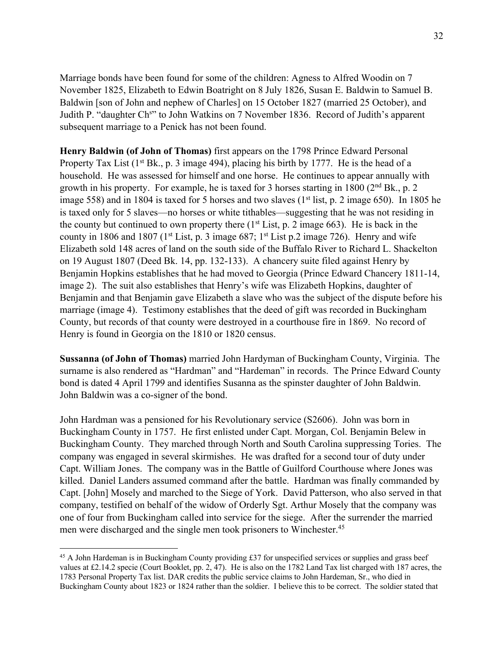Marriage bonds have been found for some of the children: Agness to Alfred Woodin on 7 November 1825, Elizabeth to Edwin Boatright on 8 July 1826, Susan E. Baldwin to Samuel B. Baldwin [son of John and nephew of Charles] on 15 October 1827 (married 25 October), and Judith P. "daughter Ch<sup>s</sup>" to John Watkins on 7 November 1836. Record of Judith's apparent subsequent marriage to a Penick has not been found.

**Henry Baldwin (of John of Thomas)** first appears on the 1798 Prince Edward Personal Property Tax List  $(1^{st} Bk, p. 3$  image 494), placing his birth by 1777. He is the head of a household. He was assessed for himself and one horse. He continues to appear annually with growth in his property. For example, he is taxed for 3 horses starting in  $1800$  ( $2<sup>nd</sup> Bk$ ., p. 2 image 558) and in 1804 is taxed for 5 horses and two slaves  $(1<sup>st</sup> list, p. 2 image 650)$ . In 1805 he is taxed only for 5 slaves—no horses or white tithables—suggesting that he was not residing in the county but continued to own property there  $(1<sup>st</sup> List, p. 2 image 663)$ . He is back in the county in 1806 and 1807 (1<sup>st</sup> List, p. 3 image 687; 1<sup>st</sup> List p.2 image 726). Henry and wife Elizabeth sold 148 acres of land on the south side of the Buffalo River to Richard L. Shackelton on 19 August 1807 (Deed Bk. 14, pp. 132-133). A chancery suite filed against Henry by Benjamin Hopkins establishes that he had moved to Georgia (Prince Edward Chancery 1811-14, image 2). The suit also establishes that Henry's wife was Elizabeth Hopkins, daughter of Benjamin and that Benjamin gave Elizabeth a slave who was the subject of the dispute before his marriage (image 4). Testimony establishes that the deed of gift was recorded in Buckingham County, but records of that county were destroyed in a courthouse fire in 1869. No record of Henry is found in Georgia on the 1810 or 1820 census.

**Sussanna (of John of Thomas)** married John Hardyman of Buckingham County, Virginia. The surname is also rendered as "Hardman" and "Hardeman" in records. The Prince Edward County bond is dated 4 April 1799 and identifies Susanna as the spinster daughter of John Baldwin. John Baldwin was a co-signer of the bond.

John Hardman was a pensioned for his Revolutionary service (S2606). John was born in Buckingham County in 1757. He first enlisted under Capt. Morgan, Col. Benjamin Belew in Buckingham County. They marched through North and South Carolina suppressing Tories. The company was engaged in several skirmishes. He was drafted for a second tour of duty under Capt. William Jones. The company was in the Battle of Guilford Courthouse where Jones was killed. Daniel Landers assumed command after the battle. Hardman was finally commanded by Capt. [John] Mosely and marched to the Siege of York. David Patterson, who also served in that company, testified on behalf of the widow of Orderly Sgt. Arthur Mosely that the company was one of four from Buckingham called into service for the siege. After the surrender the married men were discharged and the single men took prisoners to Winchester.45

<sup>&</sup>lt;sup>45</sup> A John Hardeman is in Buckingham County providing £37 for unspecified services or supplies and grass beef values at £2.14.2 specie (Court Booklet, pp. 2, 47). He is also on the 1782 Land Tax list charged with 187 acres, the 1783 Personal Property Tax list. DAR credits the public service claims to John Hardeman, Sr., who died in Buckingham County about 1823 or 1824 rather than the soldier. I believe this to be correct. The soldier stated that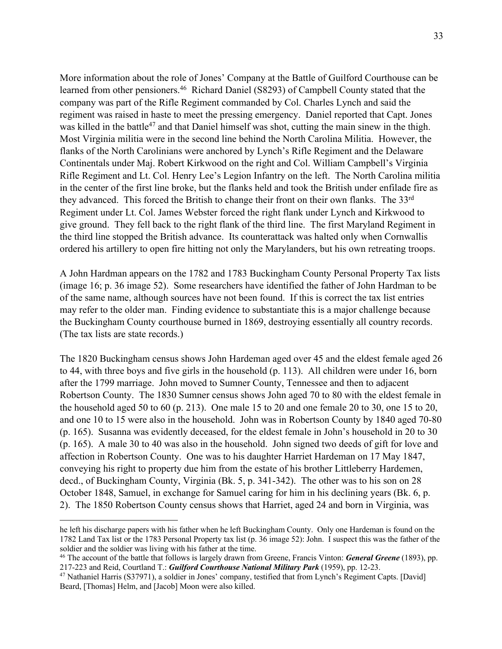More information about the role of Jones' Company at the Battle of Guilford Courthouse can be learned from other pensioners.<sup>46</sup> Richard Daniel (S8293) of Campbell County stated that the company was part of the Rifle Regiment commanded by Col. Charles Lynch and said the regiment was raised in haste to meet the pressing emergency. Daniel reported that Capt. Jones was killed in the battle<sup>47</sup> and that Daniel himself was shot, cutting the main sinew in the thigh. Most Virginia militia were in the second line behind the North Carolina Militia. However, the flanks of the North Carolinians were anchored by Lynch's Rifle Regiment and the Delaware Continentals under Maj. Robert Kirkwood on the right and Col. William Campbell's Virginia Rifle Regiment and Lt. Col. Henry Lee's Legion Infantry on the left. The North Carolina militia in the center of the first line broke, but the flanks held and took the British under enfilade fire as they advanced. This forced the British to change their front on their own flanks. The 33rd Regiment under Lt. Col. James Webster forced the right flank under Lynch and Kirkwood to give ground. They fell back to the right flank of the third line. The first Maryland Regiment in the third line stopped the British advance. Its counterattack was halted only when Cornwallis ordered his artillery to open fire hitting not only the Marylanders, but his own retreating troops.

A John Hardman appears on the 1782 and 1783 Buckingham County Personal Property Tax lists (image 16; p. 36 image 52). Some researchers have identified the father of John Hardman to be of the same name, although sources have not been found. If this is correct the tax list entries may refer to the older man. Finding evidence to substantiate this is a major challenge because the Buckingham County courthouse burned in 1869, destroying essentially all country records. (The tax lists are state records.)

The 1820 Buckingham census shows John Hardeman aged over 45 and the eldest female aged 26 to 44, with three boys and five girls in the household (p. 113). All children were under 16, born after the 1799 marriage. John moved to Sumner County, Tennessee and then to adjacent Robertson County. The 1830 Sumner census shows John aged 70 to 80 with the eldest female in the household aged 50 to 60 (p. 213). One male 15 to 20 and one female 20 to 30, one 15 to 20, and one 10 to 15 were also in the household. John was in Robertson County by 1840 aged 70-80 (p. 165). Susanna was evidently deceased, for the eldest female in John's household in 20 to 30 (p. 165). A male 30 to 40 was also in the household. John signed two deeds of gift for love and affection in Robertson County. One was to his daughter Harriet Hardeman on 17 May 1847, conveying his right to property due him from the estate of his brother Littleberry Hardemen, decd., of Buckingham County, Virginia (Bk. 5, p. 341-342). The other was to his son on 28 October 1848, Samuel, in exchange for Samuel caring for him in his declining years (Bk. 6, p. 2). The 1850 Robertson County census shows that Harriet, aged 24 and born in Virginia, was

he left his discharge papers with his father when he left Buckingham County. Only one Hardeman is found on the 1782 Land Tax list or the 1783 Personal Property tax list (p. 36 image 52): John. I suspect this was the father of the soldier and the soldier was living with his father at the time.

<sup>46</sup> The account of the battle that follows is largely drawn from Greene, Francis Vinton: *General Greene* (1893), pp. 217-223 and Reid, Courtland T.: *Guilford Courthouse National Military Park* (1959), pp. 12-23.

<sup>&</sup>lt;sup>47</sup> Nathaniel Harris (S37971), a soldier in Jones' company, testified that from Lynch's Regiment Capts. [David] Beard, [Thomas] Helm, and [Jacob] Moon were also killed.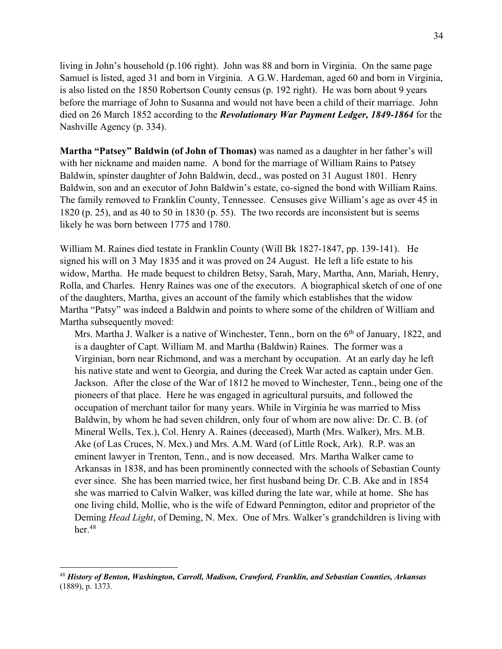living in John's household (p.106 right). John was 88 and born in Virginia. On the same page Samuel is listed, aged 31 and born in Virginia. A G.W. Hardeman, aged 60 and born in Virginia, is also listed on the 1850 Robertson County census (p. 192 right). He was born about 9 years before the marriage of John to Susanna and would not have been a child of their marriage. John died on 26 March 1852 according to the *Revolutionary War Payment Ledger, 1849-1864* for the Nashville Agency (p. 334).

**Martha "Patsey" Baldwin (of John of Thomas)** was named as a daughter in her father's will with her nickname and maiden name. A bond for the marriage of William Rains to Patsey Baldwin, spinster daughter of John Baldwin, decd., was posted on 31 August 1801. Henry Baldwin, son and an executor of John Baldwin's estate, co-signed the bond with William Rains. The family removed to Franklin County, Tennessee. Censuses give William's age as over 45 in 1820 (p. 25), and as 40 to 50 in 1830 (p. 55). The two records are inconsistent but is seems likely he was born between 1775 and 1780.

William M. Raines died testate in Franklin County (Will Bk 1827-1847, pp. 139-141). He signed his will on 3 May 1835 and it was proved on 24 August. He left a life estate to his widow, Martha. He made bequest to children Betsy, Sarah, Mary, Martha, Ann, Mariah, Henry, Rolla, and Charles. Henry Raines was one of the executors. A biographical sketch of one of one of the daughters, Martha, gives an account of the family which establishes that the widow Martha "Patsy" was indeed a Baldwin and points to where some of the children of William and Martha subsequently moved:

Mrs. Martha J. Walker is a native of Winchester, Tenn., born on the 6<sup>th</sup> of January, 1822, and is a daughter of Capt. William M. and Martha (Baldwin) Raines. The former was a Virginian, born near Richmond, and was a merchant by occupation. At an early day he left his native state and went to Georgia, and during the Creek War acted as captain under Gen. Jackson. After the close of the War of 1812 he moved to Winchester, Tenn., being one of the pioneers of that place. Here he was engaged in agricultural pursuits, and followed the occupation of merchant tailor for many years. While in Virginia he was married to Miss Baldwin, by whom he had seven children, only four of whom are now alive: Dr. C. B. (of Mineral Wells, Tex.), Col. Henry A. Raines (deceased), Marth (Mrs. Walker), Mrs. M.B. Ake (of Las Cruces, N. Mex.) and Mrs. A.M. Ward (of Little Rock, Ark). R.P. was an eminent lawyer in Trenton, Tenn., and is now deceased. Mrs. Martha Walker came to Arkansas in 1838, and has been prominently connected with the schools of Sebastian County ever since. She has been married twice, her first husband being Dr. C.B. Ake and in 1854 she was married to Calvin Walker, was killed during the late war, while at home. She has one living child, Mollie, who is the wife of Edward Pennington, editor and proprietor of the Deming *Head Light*, of Deming, N. Mex. One of Mrs. Walker's grandchildren is living with her. $48$ 

<sup>48</sup> *History of Benton, Washington, Carroll, Madison, Crawford, Franklin, and Sebastian Counties, Arkansas* (1889), p. 1373.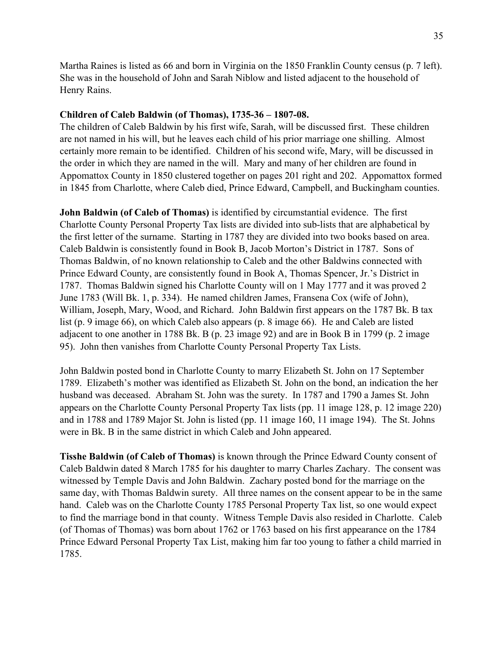Martha Raines is listed as 66 and born in Virginia on the 1850 Franklin County census (p. 7 left). She was in the household of John and Sarah Niblow and listed adjacent to the household of Henry Rains.

### **Children of Caleb Baldwin (of Thomas), 1735-36 – 1807-08.**

The children of Caleb Baldwin by his first wife, Sarah, will be discussed first. These children are not named in his will, but he leaves each child of his prior marriage one shilling. Almost certainly more remain to be identified. Children of his second wife, Mary, will be discussed in the order in which they are named in the will. Mary and many of her children are found in Appomattox County in 1850 clustered together on pages 201 right and 202. Appomattox formed in 1845 from Charlotte, where Caleb died, Prince Edward, Campbell, and Buckingham counties.

**John Baldwin (of Caleb of Thomas)** is identified by circumstantial evidence. The first Charlotte County Personal Property Tax lists are divided into sub-lists that are alphabetical by the first letter of the surname. Starting in 1787 they are divided into two books based on area. Caleb Baldwin is consistently found in Book B, Jacob Morton's District in 1787. Sons of Thomas Baldwin, of no known relationship to Caleb and the other Baldwins connected with Prince Edward County, are consistently found in Book A, Thomas Spencer, Jr.'s District in 1787. Thomas Baldwin signed his Charlotte County will on 1 May 1777 and it was proved 2 June 1783 (Will Bk. 1, p. 334). He named children James, Fransena Cox (wife of John), William, Joseph, Mary, Wood, and Richard. John Baldwin first appears on the 1787 Bk. B tax list (p. 9 image 66), on which Caleb also appears (p. 8 image 66). He and Caleb are listed adjacent to one another in 1788 Bk. B (p. 23 image 92) and are in Book B in 1799 (p. 2 image 95). John then vanishes from Charlotte County Personal Property Tax Lists.

John Baldwin posted bond in Charlotte County to marry Elizabeth St. John on 17 September 1789. Elizabeth's mother was identified as Elizabeth St. John on the bond, an indication the her husband was deceased. Abraham St. John was the surety. In 1787 and 1790 a James St. John appears on the Charlotte County Personal Property Tax lists (pp. 11 image 128, p. 12 image 220) and in 1788 and 1789 Major St. John is listed (pp. 11 image 160, 11 image 194). The St. Johns were in Bk. B in the same district in which Caleb and John appeared.

**Tisshe Baldwin (of Caleb of Thomas)** is known through the Prince Edward County consent of Caleb Baldwin dated 8 March 1785 for his daughter to marry Charles Zachary. The consent was witnessed by Temple Davis and John Baldwin. Zachary posted bond for the marriage on the same day, with Thomas Baldwin surety. All three names on the consent appear to be in the same hand. Caleb was on the Charlotte County 1785 Personal Property Tax list, so one would expect to find the marriage bond in that county. Witness Temple Davis also resided in Charlotte. Caleb (of Thomas of Thomas) was born about 1762 or 1763 based on his first appearance on the 1784 Prince Edward Personal Property Tax List, making him far too young to father a child married in 1785.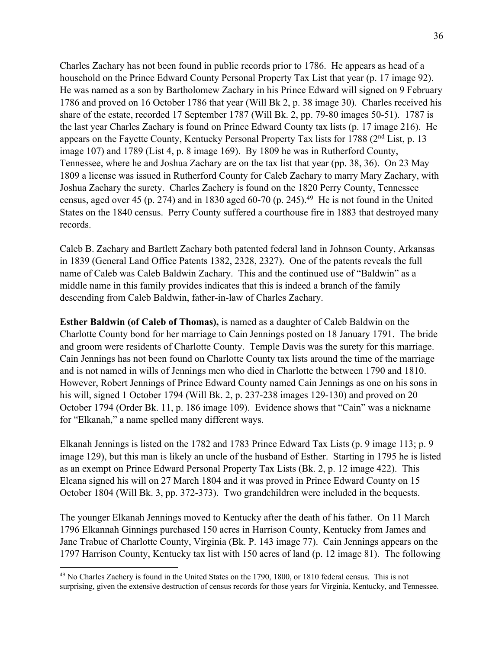Charles Zachary has not been found in public records prior to 1786. He appears as head of a household on the Prince Edward County Personal Property Tax List that year (p. 17 image 92). He was named as a son by Bartholomew Zachary in his Prince Edward will signed on 9 February 1786 and proved on 16 October 1786 that year (Will Bk 2, p. 38 image 30). Charles received his share of the estate, recorded 17 September 1787 (Will Bk. 2, pp. 79-80 images 50-51). 1787 is the last year Charles Zachary is found on Prince Edward County tax lists (p. 17 image 216). He appears on the Fayette County, Kentucky Personal Property Tax lists for 1788 (2nd List, p. 13 image 107) and 1789 (List 4, p. 8 image 169). By 1809 he was in Rutherford County, Tennessee, where he and Joshua Zachary are on the tax list that year (pp. 38, 36). On 23 May 1809 a license was issued in Rutherford County for Caleb Zachary to marry Mary Zachary, with Joshua Zachary the surety. Charles Zachery is found on the 1820 Perry County, Tennessee census, aged over 45 (p. 274) and in 1830 aged 60-70 (p. 245).<sup>49</sup> He is not found in the United States on the 1840 census. Perry County suffered a courthouse fire in 1883 that destroyed many records.

Caleb B. Zachary and Bartlett Zachary both patented federal land in Johnson County, Arkansas in 1839 (General Land Office Patents 1382, 2328, 2327). One of the patents reveals the full name of Caleb was Caleb Baldwin Zachary. This and the continued use of "Baldwin" as a middle name in this family provides indicates that this is indeed a branch of the family descending from Caleb Baldwin, father-in-law of Charles Zachary.

**Esther Baldwin (of Caleb of Thomas),** is named as a daughter of Caleb Baldwin on the Charlotte County bond for her marriage to Cain Jennings posted on 18 January 1791. The bride and groom were residents of Charlotte County. Temple Davis was the surety for this marriage. Cain Jennings has not been found on Charlotte County tax lists around the time of the marriage and is not named in wills of Jennings men who died in Charlotte the between 1790 and 1810. However, Robert Jennings of Prince Edward County named Cain Jennings as one on his sons in his will, signed 1 October 1794 (Will Bk. 2, p. 237-238 images 129-130) and proved on 20 October 1794 (Order Bk. 11, p. 186 image 109). Evidence shows that "Cain" was a nickname for "Elkanah," a name spelled many different ways.

Elkanah Jennings is listed on the 1782 and 1783 Prince Edward Tax Lists (p. 9 image 113; p. 9 image 129), but this man is likely an uncle of the husband of Esther. Starting in 1795 he is listed as an exempt on Prince Edward Personal Property Tax Lists (Bk. 2, p. 12 image 422). This Elcana signed his will on 27 March 1804 and it was proved in Prince Edward County on 15 October 1804 (Will Bk. 3, pp. 372-373). Two grandchildren were included in the bequests.

The younger Elkanah Jennings moved to Kentucky after the death of his father. On 11 March 1796 Elkannah Ginnings purchased 150 acres in Harrison County, Kentucky from James and Jane Trabue of Charlotte County, Virginia (Bk. P. 143 image 77). Cain Jennings appears on the 1797 Harrison County, Kentucky tax list with 150 acres of land (p. 12 image 81). The following

<sup>&</sup>lt;sup>49</sup> No Charles Zachery is found in the United States on the 1790, 1800, or 1810 federal census. This is not surprising, given the extensive destruction of census records for those years for Virginia, Kentucky, and Tennessee.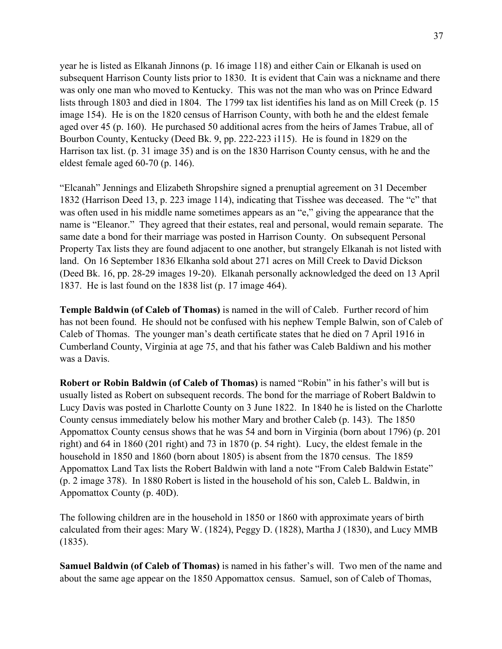year he is listed as Elkanah Jinnons (p. 16 image 118) and either Cain or Elkanah is used on subsequent Harrison County lists prior to 1830. It is evident that Cain was a nickname and there was only one man who moved to Kentucky. This was not the man who was on Prince Edward lists through 1803 and died in 1804. The 1799 tax list identifies his land as on Mill Creek (p. 15 image 154). He is on the 1820 census of Harrison County, with both he and the eldest female aged over 45 (p. 160). He purchased 50 additional acres from the heirs of James Trabue, all of Bourbon County, Kentucky (Deed Bk. 9, pp. 222-223 i115). He is found in 1829 on the Harrison tax list. (p. 31 image 35) and is on the 1830 Harrison County census, with he and the eldest female aged 60-70 (p. 146).

"Elcanah" Jennings and Elizabeth Shropshire signed a prenuptial agreement on 31 December 1832 (Harrison Deed 13, p. 223 image 114), indicating that Tisshee was deceased. The "c" that was often used in his middle name sometimes appears as an "e," giving the appearance that the name is "Eleanor." They agreed that their estates, real and personal, would remain separate. The same date a bond for their marriage was posted in Harrison County. On subsequent Personal Property Tax lists they are found adjacent to one another, but strangely Elkanah is not listed with land. On 16 September 1836 Elkanha sold about 271 acres on Mill Creek to David Dickson (Deed Bk. 16, pp. 28-29 images 19-20). Elkanah personally acknowledged the deed on 13 April 1837. He is last found on the 1838 list (p. 17 image 464).

**Temple Baldwin (of Caleb of Thomas)** is named in the will of Caleb. Further record of him has not been found. He should not be confused with his nephew Temple Balwin, son of Caleb of Caleb of Thomas. The younger man's death certificate states that he died on 7 April 1916 in Cumberland County, Virginia at age 75, and that his father was Caleb Baldiwn and his mother was a Davis.

**Robert or Robin Baldwin (of Caleb of Thomas)** is named "Robin" in his father's will but is usually listed as Robert on subsequent records. The bond for the marriage of Robert Baldwin to Lucy Davis was posted in Charlotte County on 3 June 1822. In 1840 he is listed on the Charlotte County census immediately below his mother Mary and brother Caleb (p. 143). The 1850 Appomattox County census shows that he was 54 and born in Virginia (born about 1796) (p. 201 right) and 64 in 1860 (201 right) and 73 in 1870 (p. 54 right). Lucy, the eldest female in the household in 1850 and 1860 (born about 1805) is absent from the 1870 census. The 1859 Appomattox Land Tax lists the Robert Baldwin with land a note "From Caleb Baldwin Estate" (p. 2 image 378). In 1880 Robert is listed in the household of his son, Caleb L. Baldwin, in Appomattox County (p. 40D).

The following children are in the household in 1850 or 1860 with approximate years of birth calculated from their ages: Mary W. (1824), Peggy D. (1828), Martha J (1830), and Lucy MMB (1835).

**Samuel Baldwin (of Caleb of Thomas)** is named in his father's will. Two men of the name and about the same age appear on the 1850 Appomattox census. Samuel, son of Caleb of Thomas,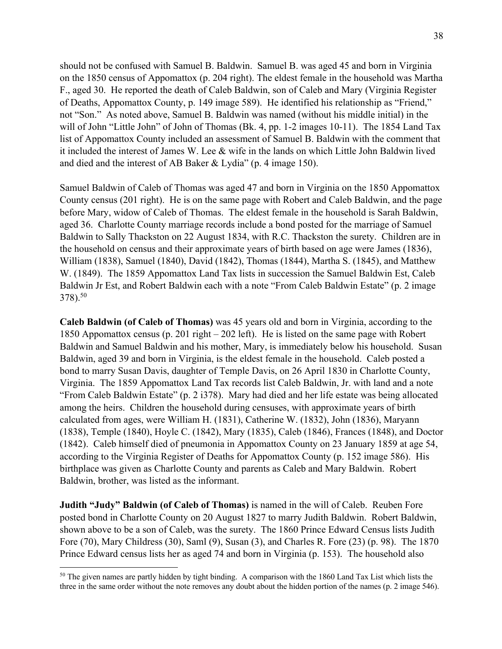should not be confused with Samuel B. Baldwin. Samuel B. was aged 45 and born in Virginia on the 1850 census of Appomattox (p. 204 right). The eldest female in the household was Martha F., aged 30. He reported the death of Caleb Baldwin, son of Caleb and Mary (Virginia Register of Deaths, Appomattox County, p. 149 image 589). He identified his relationship as "Friend," not "Son." As noted above, Samuel B. Baldwin was named (without his middle initial) in the will of John "Little John" of John of Thomas (Bk. 4, pp. 1-2 images 10-11). The 1854 Land Tax list of Appomattox County included an assessment of Samuel B. Baldwin with the comment that it included the interest of James W. Lee & wife in the lands on which Little John Baldwin lived and died and the interest of AB Baker & Lydia" (p. 4 image 150).

Samuel Baldwin of Caleb of Thomas was aged 47 and born in Virginia on the 1850 Appomattox County census (201 right). He is on the same page with Robert and Caleb Baldwin, and the page before Mary, widow of Caleb of Thomas. The eldest female in the household is Sarah Baldwin, aged 36. Charlotte County marriage records include a bond posted for the marriage of Samuel Baldwin to Sally Thackston on 22 August 1834, with R.C. Thackston the surety. Children are in the household on census and their approximate years of birth based on age were James (1836), William (1838), Samuel (1840), David (1842), Thomas (1844), Martha S. (1845), and Matthew W. (1849). The 1859 Appomattox Land Tax lists in succession the Samuel Baldwin Est, Caleb Baldwin Jr Est, and Robert Baldwin each with a note "From Caleb Baldwin Estate" (p. 2 image 378).50

**Caleb Baldwin (of Caleb of Thomas)** was 45 years old and born in Virginia, according to the 1850 Appomattox census (p. 201 right – 202 left). He is listed on the same page with Robert Baldwin and Samuel Baldwin and his mother, Mary, is immediately below his household. Susan Baldwin, aged 39 and born in Virginia, is the eldest female in the household. Caleb posted a bond to marry Susan Davis, daughter of Temple Davis, on 26 April 1830 in Charlotte County, Virginia. The 1859 Appomattox Land Tax records list Caleb Baldwin, Jr. with land and a note "From Caleb Baldwin Estate" (p. 2 i378). Mary had died and her life estate was being allocated among the heirs. Children the household during censuses, with approximate years of birth calculated from ages, were William H. (1831), Catherine W. (1832), John (1836), Maryann (1838), Temple (1840), Hoyle C. (1842), Mary (1835), Caleb (1846), Frances (1848), and Doctor (1842). Caleb himself died of pneumonia in Appomattox County on 23 January 1859 at age 54, according to the Virginia Register of Deaths for Appomattox County (p. 152 image 586). His birthplace was given as Charlotte County and parents as Caleb and Mary Baldwin. Robert Baldwin, brother, was listed as the informant.

**Judith "Judy" Baldwin (of Caleb of Thomas)** is named in the will of Caleb. Reuben Fore posted bond in Charlotte County on 20 August 1827 to marry Judith Baldwin. Robert Baldwin, shown above to be a son of Caleb, was the surety. The 1860 Prince Edward Census lists Judith Fore (70), Mary Childress (30), Saml (9), Susan (3), and Charles R. Fore (23) (p. 98). The 1870 Prince Edward census lists her as aged 74 and born in Virginia (p. 153). The household also

<sup>&</sup>lt;sup>50</sup> The given names are partly hidden by tight binding. A comparison with the 1860 Land Tax List which lists the three in the same order without the note removes any doubt about the hidden portion of the names (p. 2 image 546).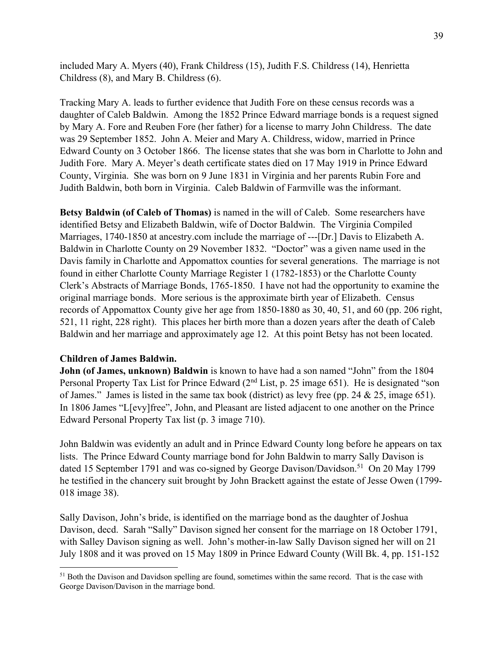included Mary A. Myers (40), Frank Childress (15), Judith F.S. Childress (14), Henrietta Childress (8), and Mary B. Childress (6).

Tracking Mary A. leads to further evidence that Judith Fore on these census records was a daughter of Caleb Baldwin. Among the 1852 Prince Edward marriage bonds is a request signed by Mary A. Fore and Reuben Fore (her father) for a license to marry John Childress. The date was 29 September 1852. John A. Meier and Mary A. Childress, widow, married in Prince Edward County on 3 October 1866. The license states that she was born in Charlotte to John and Judith Fore. Mary A. Meyer's death certificate states died on 17 May 1919 in Prince Edward County, Virginia. She was born on 9 June 1831 in Virginia and her parents Rubin Fore and Judith Baldwin, both born in Virginia. Caleb Baldwin of Farmville was the informant.

**Betsy Baldwin (of Caleb of Thomas)** is named in the will of Caleb. Some researchers have identified Betsy and Elizabeth Baldwin, wife of Doctor Baldwin. The Virginia Compiled Marriages, 1740-1850 at ancestry.com include the marriage of ---[Dr.] Davis to Elizabeth A. Baldwin in Charlotte County on 29 November 1832. "Doctor" was a given name used in the Davis family in Charlotte and Appomattox counties for several generations. The marriage is not found in either Charlotte County Marriage Register 1 (1782-1853) or the Charlotte County Clerk's Abstracts of Marriage Bonds, 1765-1850. I have not had the opportunity to examine the original marriage bonds. More serious is the approximate birth year of Elizabeth. Census records of Appomattox County give her age from 1850-1880 as 30, 40, 51, and 60 (pp. 206 right, 521, 11 right, 228 right). This places her birth more than a dozen years after the death of Caleb Baldwin and her marriage and approximately age 12. At this point Betsy has not been located.

#### **Children of James Baldwin.**

**John (of James, unknown) Baldwin** is known to have had a son named "John" from the 1804 Personal Property Tax List for Prince Edward (2<sup>nd</sup> List, p. 25 image 651). He is designated "son of James." James is listed in the same tax book (district) as levy free (pp. 24  $\&$  25, image 651). In 1806 James "L[evy]free", John, and Pleasant are listed adjacent to one another on the Prince Edward Personal Property Tax list (p. 3 image 710).

John Baldwin was evidently an adult and in Prince Edward County long before he appears on tax lists. The Prince Edward County marriage bond for John Baldwin to marry Sally Davison is dated 15 September 1791 and was co-signed by George Davison/Davidson.<sup>51</sup> On 20 May 1799 he testified in the chancery suit brought by John Brackett against the estate of Jesse Owen (1799- 018 image 38).

Sally Davison, John's bride, is identified on the marriage bond as the daughter of Joshua Davison, decd. Sarah "Sally" Davison signed her consent for the marriage on 18 October 1791, with Salley Davison signing as well. John's mother-in-law Sally Davison signed her will on 21 July 1808 and it was proved on 15 May 1809 in Prince Edward County (Will Bk. 4, pp. 151-152

<sup>&</sup>lt;sup>51</sup> Both the Davison and Davidson spelling are found, sometimes within the same record. That is the case with George Davison/Davison in the marriage bond.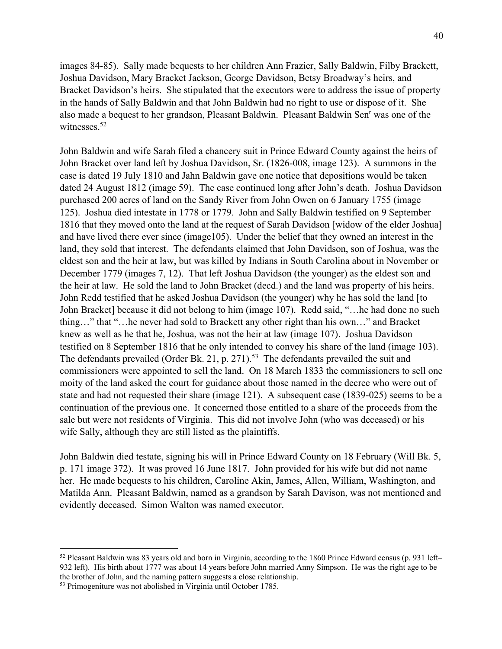images 84-85). Sally made bequests to her children Ann Frazier, Sally Baldwin, Filby Brackett, Joshua Davidson, Mary Bracket Jackson, George Davidson, Betsy Broadway's heirs, and Bracket Davidson's heirs. She stipulated that the executors were to address the issue of property in the hands of Sally Baldwin and that John Baldwin had no right to use or dispose of it. She also made a bequest to her grandson, Pleasant Baldwin. Pleasant Baldwin Senr was one of the witnesses.<sup>52</sup>

John Baldwin and wife Sarah filed a chancery suit in Prince Edward County against the heirs of John Bracket over land left by Joshua Davidson, Sr. (1826-008, image 123). A summons in the case is dated 19 July 1810 and Jahn Baldwin gave one notice that depositions would be taken dated 24 August 1812 (image 59). The case continued long after John's death. Joshua Davidson purchased 200 acres of land on the Sandy River from John Owen on 6 January 1755 (image 125). Joshua died intestate in 1778 or 1779. John and Sally Baldwin testified on 9 September 1816 that they moved onto the land at the request of Sarah Davidson [widow of the elder Joshua] and have lived there ever since (image105). Under the belief that they owned an interest in the land, they sold that interest. The defendants claimed that John Davidson, son of Joshua, was the eldest son and the heir at law, but was killed by Indians in South Carolina about in November or December 1779 (images 7, 12). That left Joshua Davidson (the younger) as the eldest son and the heir at law. He sold the land to John Bracket (decd.) and the land was property of his heirs. John Redd testified that he asked Joshua Davidson (the younger) why he has sold the land [to John Bracket] because it did not belong to him (image 107). Redd said, "…he had done no such thing…" that "…he never had sold to Brackett any other right than his own…" and Bracket knew as well as he that he, Joshua, was not the heir at law (image 107). Joshua Davidson testified on 8 September 1816 that he only intended to convey his share of the land (image 103). The defendants prevailed (Order Bk. 21, p. 271).<sup>53</sup> The defendants prevailed the suit and commissioners were appointed to sell the land. On 18 March 1833 the commissioners to sell one moity of the land asked the court for guidance about those named in the decree who were out of state and had not requested their share (image 121). A subsequent case (1839-025) seems to be a continuation of the previous one. It concerned those entitled to a share of the proceeds from the sale but were not residents of Virginia. This did not involve John (who was deceased) or his wife Sally, although they are still listed as the plaintiffs.

John Baldwin died testate, signing his will in Prince Edward County on 18 February (Will Bk. 5, p. 171 image 372). It was proved 16 June 1817. John provided for his wife but did not name her. He made bequests to his children, Caroline Akin, James, Allen, William, Washington, and Matilda Ann. Pleasant Baldwin, named as a grandson by Sarah Davison, was not mentioned and evidently deceased. Simon Walton was named executor.

 $52$  Pleasant Baldwin was 83 years old and born in Virginia, according to the 1860 Prince Edward census (p. 931 left– 932 left). His birth about 1777 was about 14 years before John married Anny Simpson. He was the right age to be the brother of John, and the naming pattern suggests a close relationship.

<sup>53</sup> Primogeniture was not abolished in Virginia until October 1785.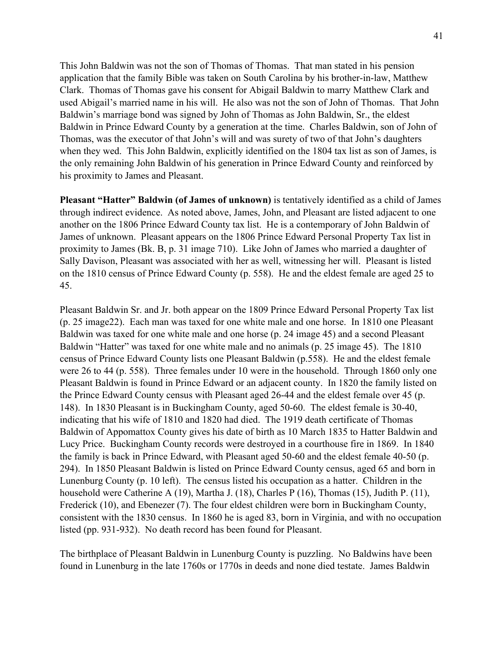This John Baldwin was not the son of Thomas of Thomas. That man stated in his pension application that the family Bible was taken on South Carolina by his brother-in-law, Matthew Clark. Thomas of Thomas gave his consent for Abigail Baldwin to marry Matthew Clark and used Abigail's married name in his will. He also was not the son of John of Thomas. That John Baldwin's marriage bond was signed by John of Thomas as John Baldwin, Sr., the eldest Baldwin in Prince Edward County by a generation at the time. Charles Baldwin, son of John of Thomas, was the executor of that John's will and was surety of two of that John's daughters when they wed. This John Baldwin, explicitly identified on the 1804 tax list as son of James, is the only remaining John Baldwin of his generation in Prince Edward County and reinforced by his proximity to James and Pleasant.

**Pleasant "Hatter" Baldwin (of James of unknown)** is tentatively identified as a child of James through indirect evidence. As noted above, James, John, and Pleasant are listed adjacent to one another on the 1806 Prince Edward County tax list. He is a contemporary of John Baldwin of James of unknown. Pleasant appears on the 1806 Prince Edward Personal Property Tax list in proximity to James (Bk. B, p. 31 image 710). Like John of James who married a daughter of Sally Davison, Pleasant was associated with her as well, witnessing her will. Pleasant is listed on the 1810 census of Prince Edward County (p. 558). He and the eldest female are aged 25 to 45.

Pleasant Baldwin Sr. and Jr. both appear on the 1809 Prince Edward Personal Property Tax list (p. 25 image22). Each man was taxed for one white male and one horse. In 1810 one Pleasant Baldwin was taxed for one white male and one horse (p. 24 image 45) and a second Pleasant Baldwin "Hatter" was taxed for one white male and no animals (p. 25 image 45). The 1810 census of Prince Edward County lists one Pleasant Baldwin (p.558). He and the eldest female were 26 to 44 (p. 558). Three females under 10 were in the household. Through 1860 only one Pleasant Baldwin is found in Prince Edward or an adjacent county. In 1820 the family listed on the Prince Edward County census with Pleasant aged 26-44 and the eldest female over 45 (p. 148). In 1830 Pleasant is in Buckingham County, aged 50-60. The eldest female is 30-40, indicating that his wife of 1810 and 1820 had died. The 1919 death certificate of Thomas Baldwin of Appomattox County gives his date of birth as 10 March 1835 to Hatter Baldwin and Lucy Price. Buckingham County records were destroyed in a courthouse fire in 1869. In 1840 the family is back in Prince Edward, with Pleasant aged 50-60 and the eldest female 40-50 (p. 294). In 1850 Pleasant Baldwin is listed on Prince Edward County census, aged 65 and born in Lunenburg County (p. 10 left). The census listed his occupation as a hatter. Children in the household were Catherine A (19), Martha J. (18), Charles P (16), Thomas (15), Judith P. (11), Frederick (10), and Ebenezer (7). The four eldest children were born in Buckingham County, consistent with the 1830 census. In 1860 he is aged 83, born in Virginia, and with no occupation listed (pp. 931-932). No death record has been found for Pleasant.

The birthplace of Pleasant Baldwin in Lunenburg County is puzzling. No Baldwins have been found in Lunenburg in the late 1760s or 1770s in deeds and none died testate. James Baldwin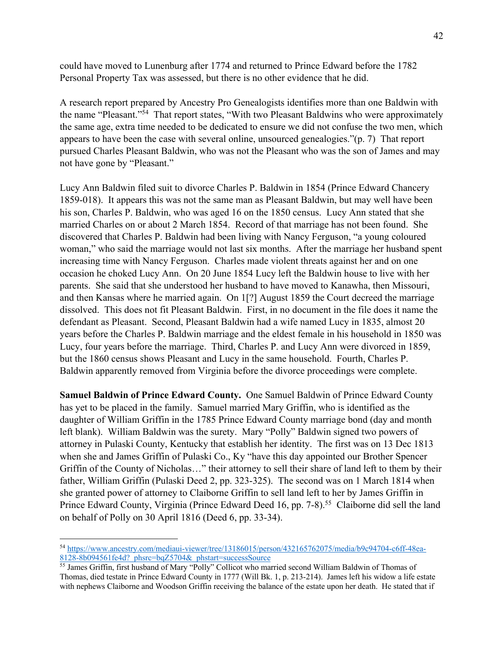could have moved to Lunenburg after 1774 and returned to Prince Edward before the 1782 Personal Property Tax was assessed, but there is no other evidence that he did.

A research report prepared by Ancestry Pro Genealogists identifies more than one Baldwin with the name "Pleasant."54 That report states, "With two Pleasant Baldwins who were approximately the same age, extra time needed to be dedicated to ensure we did not confuse the two men, which appears to have been the case with several online, unsourced genealogies."(p. 7) That report pursued Charles Pleasant Baldwin, who was not the Pleasant who was the son of James and may not have gone by "Pleasant."

Lucy Ann Baldwin filed suit to divorce Charles P. Baldwin in 1854 (Prince Edward Chancery 1859-018). It appears this was not the same man as Pleasant Baldwin, but may well have been his son, Charles P. Baldwin, who was aged 16 on the 1850 census. Lucy Ann stated that she married Charles on or about 2 March 1854. Record of that marriage has not been found. She discovered that Charles P. Baldwin had been living with Nancy Ferguson, "a young coloured woman," who said the marriage would not last six months. After the marriage her husband spent increasing time with Nancy Ferguson. Charles made violent threats against her and on one occasion he choked Lucy Ann. On 20 June 1854 Lucy left the Baldwin house to live with her parents. She said that she understood her husband to have moved to Kanawha, then Missouri, and then Kansas where he married again. On 1[?] August 1859 the Court decreed the marriage dissolved. This does not fit Pleasant Baldwin. First, in no document in the file does it name the defendant as Pleasant. Second, Pleasant Baldwin had a wife named Lucy in 1835, almost 20 years before the Charles P. Baldwin marriage and the eldest female in his household in 1850 was Lucy, four years before the marriage. Third, Charles P. and Lucy Ann were divorced in 1859, but the 1860 census shows Pleasant and Lucy in the same household. Fourth, Charles P. Baldwin apparently removed from Virginia before the divorce proceedings were complete.

**Samuel Baldwin of Prince Edward County.** One Samuel Baldwin of Prince Edward County has yet to be placed in the family. Samuel married Mary Griffin, who is identified as the daughter of William Griffin in the 1785 Prince Edward County marriage bond (day and month left blank). William Baldwin was the surety. Mary "Polly" Baldwin signed two powers of attorney in Pulaski County, Kentucky that establish her identity. The first was on 13 Dec 1813 when she and James Griffin of Pulaski Co., Ky "have this day appointed our Brother Spencer Griffin of the County of Nicholas…" their attorney to sell their share of land left to them by their father, William Griffin (Pulaski Deed 2, pp. 323-325). The second was on 1 March 1814 when she granted power of attorney to Claiborne Griffin to sell land left to her by James Griffin in Prince Edward County, Virginia (Prince Edward Deed 16, pp. 7-8).<sup>55</sup> Claiborne did sell the land on behalf of Polly on 30 April 1816 (Deed 6, pp. 33-34).

<sup>54</sup> https://www.ancestry.com/mediaui-viewer/tree/13186015/person/432165762075/media/b9c94704-c6ff-48ea-8128-8b094561fe4d?\_phsrc=bqZ5704&\_phstart=successSource

<sup>55</sup> James Griffin, first husband of Mary "Polly" Collicot who married second William Baldwin of Thomas of Thomas, died testate in Prince Edward County in 1777 (Will Bk. 1, p. 213-214). James left his widow a life estate with nephews Claiborne and Woodson Griffin receiving the balance of the estate upon her death. He stated that if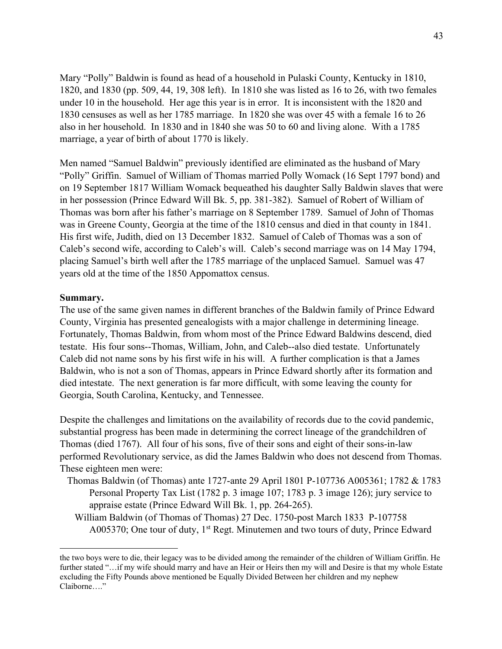Mary "Polly" Baldwin is found as head of a household in Pulaski County, Kentucky in 1810, 1820, and 1830 (pp. 509, 44, 19, 308 left). In 1810 she was listed as 16 to 26, with two females under 10 in the household. Her age this year is in error. It is inconsistent with the 1820 and 1830 censuses as well as her 1785 marriage. In 1820 she was over 45 with a female 16 to 26 also in her household. In 1830 and in 1840 she was 50 to 60 and living alone. With a 1785 marriage, a year of birth of about 1770 is likely.

Men named "Samuel Baldwin" previously identified are eliminated as the husband of Mary "Polly" Griffin. Samuel of William of Thomas married Polly Womack (16 Sept 1797 bond) and on 19 September 1817 William Womack bequeathed his daughter Sally Baldwin slaves that were in her possession (Prince Edward Will Bk. 5, pp. 381-382). Samuel of Robert of William of Thomas was born after his father's marriage on 8 September 1789. Samuel of John of Thomas was in Greene County, Georgia at the time of the 1810 census and died in that county in 1841. His first wife, Judith, died on 13 December 1832. Samuel of Caleb of Thomas was a son of Caleb's second wife, according to Caleb's will. Caleb's second marriage was on 14 May 1794, placing Samuel's birth well after the 1785 marriage of the unplaced Samuel. Samuel was 47 years old at the time of the 1850 Appomattox census.

#### **Summary.**

The use of the same given names in different branches of the Baldwin family of Prince Edward County, Virginia has presented genealogists with a major challenge in determining lineage. Fortunately, Thomas Baldwin, from whom most of the Prince Edward Baldwins descend, died testate. His four sons--Thomas, William, John, and Caleb--also died testate. Unfortunately Caleb did not name sons by his first wife in his will. A further complication is that a James Baldwin, who is not a son of Thomas, appears in Prince Edward shortly after its formation and died intestate. The next generation is far more difficult, with some leaving the county for Georgia, South Carolina, Kentucky, and Tennessee.

Despite the challenges and limitations on the availability of records due to the covid pandemic, substantial progress has been made in determining the correct lineage of the grandchildren of Thomas (died 1767). All four of his sons, five of their sons and eight of their sons-in-law performed Revolutionary service, as did the James Baldwin who does not descend from Thomas. These eighteen men were:

- Thomas Baldwin (of Thomas) ante 1727-ante 29 April 1801 P-107736 A005361; 1782 & 1783 Personal Property Tax List (1782 p. 3 image 107; 1783 p. 3 image 126); jury service to appraise estate (Prince Edward Will Bk. 1, pp. 264-265).
	- William Baldwin (of Thomas of Thomas) 27 Dec. 1750-post March 1833 P-107758 A005370; One tour of duty, 1<sup>st</sup> Regt. Minutemen and two tours of duty, Prince Edward

the two boys were to die, their legacy was to be divided among the remainder of the children of William Griffin. He further stated "…if my wife should marry and have an Heir or Heirs then my will and Desire is that my whole Estate excluding the Fifty Pounds above mentioned be Equally Divided Between her children and my nephew Claiborne…."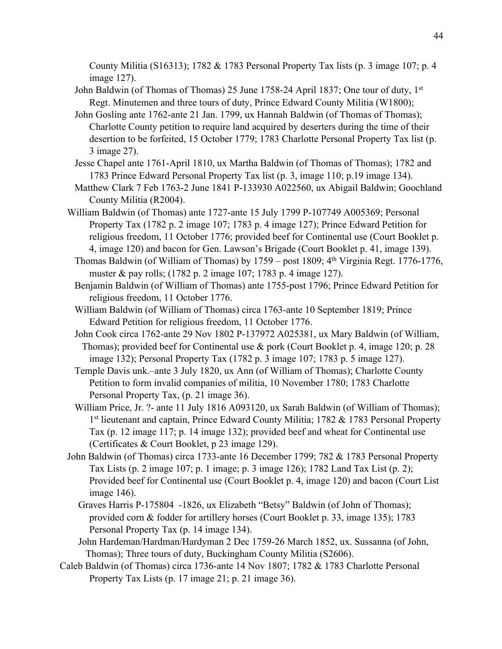County Militia (S16313); 1782 & 1783 Personal Property Tax lists (p. 3 image 107; p. 4 image 127).

- John Baldwin (of Thomas of Thomas) 25 June 1758-24 April 1837; One tour of duty, 1st Regt. Minutemen and three tours of duty, Prince Edward County Militia (W1800);
- John Gosling ante 1762-ante 21 Jan. 1799, ux Hannah Baldwin (of Thomas of Thomas); Charlotte County petition to require land acquired by deserters during the time of their desertion to be forfeited, 15 October 1779; 1783 Charlotte Personal Property Tax list (p. 3 image 27).
- Jesse Chapel ante 1761-April 1810, ux Martha Baldwin (of Thomas of Thomas); 1782 and 1783 Prince Edward Personal Property Tax list (p. 3, image 110; p.19 image 134).
- Matthew Clark 7 Feb 1763-2 June 1841 P-133930 A022560, ux Abigail Baldwin; Goochland County Militia (R2004).
- William Baldwin (of Thomas) ante 1727-ante 15 July 1799 P-107749 A005369; Personal Property Tax (1782 p. 2 image 107; 1783 p. 4 image 127); Prince Edward Petition for religious freedom, 11 October 1776; provided beef for Continental use (Court Booklet p. 4, image 120) and bacon for Gen. Lawson's Brigade (Court Booklet p. 41, image 139).
	- Thomas Baldwin (of William of Thomas) by  $1759 -$  post  $1809$ ;  $4<sup>th</sup>$  Virginia Regt. 1776-1776, muster & pay rolls; (1782 p. 2 image 107; 1783 p. 4 image 127).
	- Benjamin Baldwin (of William of Thomas) ante 1755-post 1796; Prince Edward Petition for religious freedom, 11 October 1776.
	- William Baldwin (of William of Thomas) circa 1763-ante 10 September 1819; Prince Edward Petition for religious freedom, 11 October 1776.
	- John Cook circa 1762-ante 29 Nov 1802 P-137972 A025381, ux Mary Baldwin (of William, Thomas); provided beef for Continental use & pork (Court Booklet p. 4, image 120; p. 28 image 132); Personal Property Tax (1782 p. 3 image 107; 1783 p. 5 image 127).
	- Temple Davis unk.–ante 3 July 1820, ux Ann (of William of Thomas); Charlotte County Petition to form invalid companies of militia, 10 November 1780; 1783 Charlotte Personal Property Tax, (p. 21 image 36).
	- William Price, Jr. ?- ante 11 July 1816 A093120, ux Sarah Baldwin (of William of Thomas); 1st lieutenant and captain, Prince Edward County Militia; 1782 & 1783 Personal Property Tax (p. 12 image 117; p. 14 image 132); provided beef and wheat for Continental use (Certificates & Court Booklet, p 23 image 129).
- John Baldwin (of Thomas) circa 1733-ante 16 December 1799; 782 & 1783 Personal Property Tax Lists (p. 2 image 107; p. 1 image; p. 3 image 126); 1782 Land Tax List (p. 2); Provided beef for Continental use (Court Booklet p. 4, image 120) and bacon (Court List image 146).
	- Graves Harris P-175804 -1826, ux Elizabeth "Betsy" Baldwin (of John of Thomas); provided corn & fodder for artillery horses (Court Booklet p. 33, image 135); 1783 Personal Property Tax (p. 14 image 134).
	- John Hardeman/Hardman/Hardyman 2 Dec 1759-26 March 1852, ux. Sussanna (of John, Thomas); Three tours of duty, Buckingham County Militia (S2606).
- Caleb Baldwin (of Thomas) circa 1736-ante 14 Nov 1807; 1782 & 1783 Charlotte Personal Property Tax Lists (p. 17 image 21; p. 21 image 36).